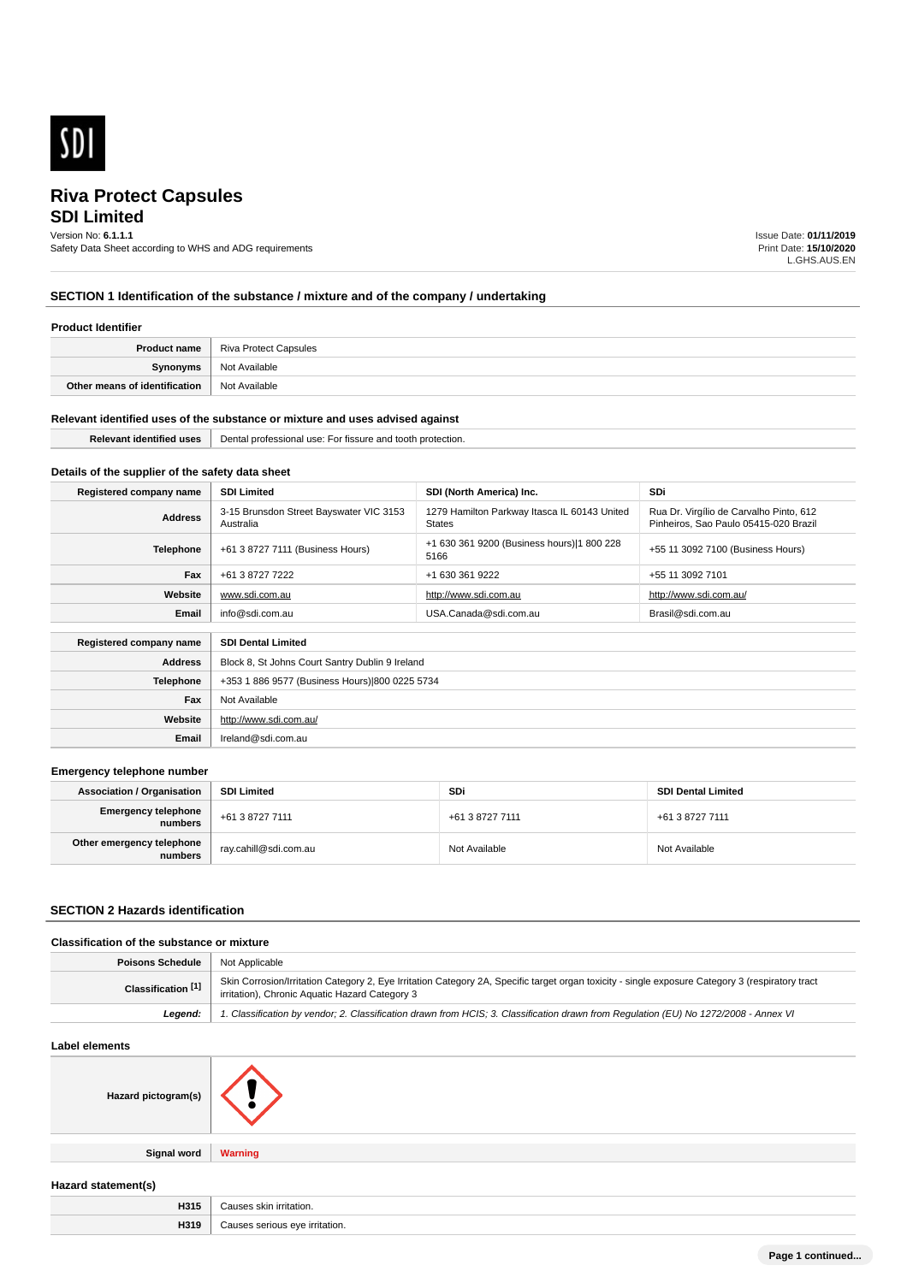

## **SDI Limited** Version No: **6.1.1.1**

Safety Data Sheet according to WHS and ADG requirements

Issue Date: **01/11/2019** Print Date: **15/10/2020** L.GHS.AUS.EN

## **SECTION 1 Identification of the substance / mixture and of the company / undertaking**

#### **Product Identifier**

| <b>Product name</b>           | Riva Protect Capsules |
|-------------------------------|-----------------------|
| Svnonvms                      | Not Available         |
| Other means of identification | Not Available         |

#### **Relevant identified uses of the substance or mixture and uses advised against**

| l lises<br><b>Identified</b> | Der:<br>' professiona.<br>protection.<br><b>USA</b><br>nssure<br>and<br>- ^ *<br>TOOTN.<br>- 11 |
|------------------------------|-------------------------------------------------------------------------------------------------|
|                              |                                                                                                 |

## **Details of the supplier of the safety data sheet**

| Registered company name | <b>SDI Limited</b>                                   | SDI (North America) Inc.                                      | <b>SDi</b>                                                                       |
|-------------------------|------------------------------------------------------|---------------------------------------------------------------|----------------------------------------------------------------------------------|
| <b>Address</b>          | 3-15 Brunsdon Street Bayswater VIC 3153<br>Australia | 1279 Hamilton Parkway Itasca IL 60143 United<br><b>States</b> | Rua Dr. Virgílio de Carvalho Pinto, 612<br>Pinheiros, Sao Paulo 05415-020 Brazil |
| <b>Telephone</b>        | +61 3 8727 7111 (Business Hours)                     | +1 630 361 9200 (Business hours) 1 800 228<br>5166            | +55 11 3092 7100 (Business Hours)                                                |
| Fax                     | +61 3 8727 7222                                      | +1 630 361 9222                                               | +55 11 3092 7101                                                                 |
| Website                 | www.sdi.com.au                                       | http://www.sdi.com.au                                         | http://www.sdi.com.au/                                                           |
| Email                   | info@sdi.com.au                                      | USA.Canada@sdi.com.au                                         | Brasil@sdi.com.au                                                                |
|                         |                                                      |                                                               |                                                                                  |
| Registered company name | <b>SDI Dental Limited</b>                            |                                                               |                                                                                  |
| <b>Address</b>          | Block 8, St Johns Court Santry Dublin 9 Ireland      |                                                               |                                                                                  |
| <b>Telephone</b>        | +353 1 886 9577 (Business Hours) 800 0225 5734       |                                                               |                                                                                  |

| Fax     | Not Available          |
|---------|------------------------|
| Website | http://www.sdi.com.au/ |
| Email   | Ireland@sdi.com.au     |
|         |                        |

#### **Emergency telephone number**

| <b>Association / Organisation</b>              | <b>SDI Limited</b>      | SDi             | <b>SDI Dental Limited</b> |
|------------------------------------------------|-------------------------|-----------------|---------------------------|
| <b>Emergency telephone</b><br><b> </b> numbers | +61 3 8727 7111         | +61 3 8727 7111 | +61 3 8727 7111           |
| Other emergency telephone<br>numbers           | ` ray.cahill@sdi.com.au | Not Available   | Not Available             |

## **SECTION 2 Hazards identification**

## **Classification of the substance or mixture**

| <b>Poisons Schedule</b>       | Not Applicable                                                                                                                                                                                     |
|-------------------------------|----------------------------------------------------------------------------------------------------------------------------------------------------------------------------------------------------|
| Classification <sup>[1]</sup> | Skin Corrosion/Irritation Category 2, Eye Irritation Category 2A, Specific target organ toxicity - single exposure Category 3 (respiratory tract<br>irritation), Chronic Aquatic Hazard Category 3 |
| Leaend:                       | 1. Classification by vendor; 2. Classification drawn from HCIS; 3. Classification drawn from Requlation (EU) No 1272/2008 - Annex VI                                                               |

#### **Label elements**

| Hazard pictogram(s) |                |
|---------------------|----------------|
| Signal word         | <b>Warning</b> |
| Hazard statement(s) |                |

| H315 | "<br>™ irritation.   |
|------|----------------------|
| H319 | rritation.<br>$\sim$ |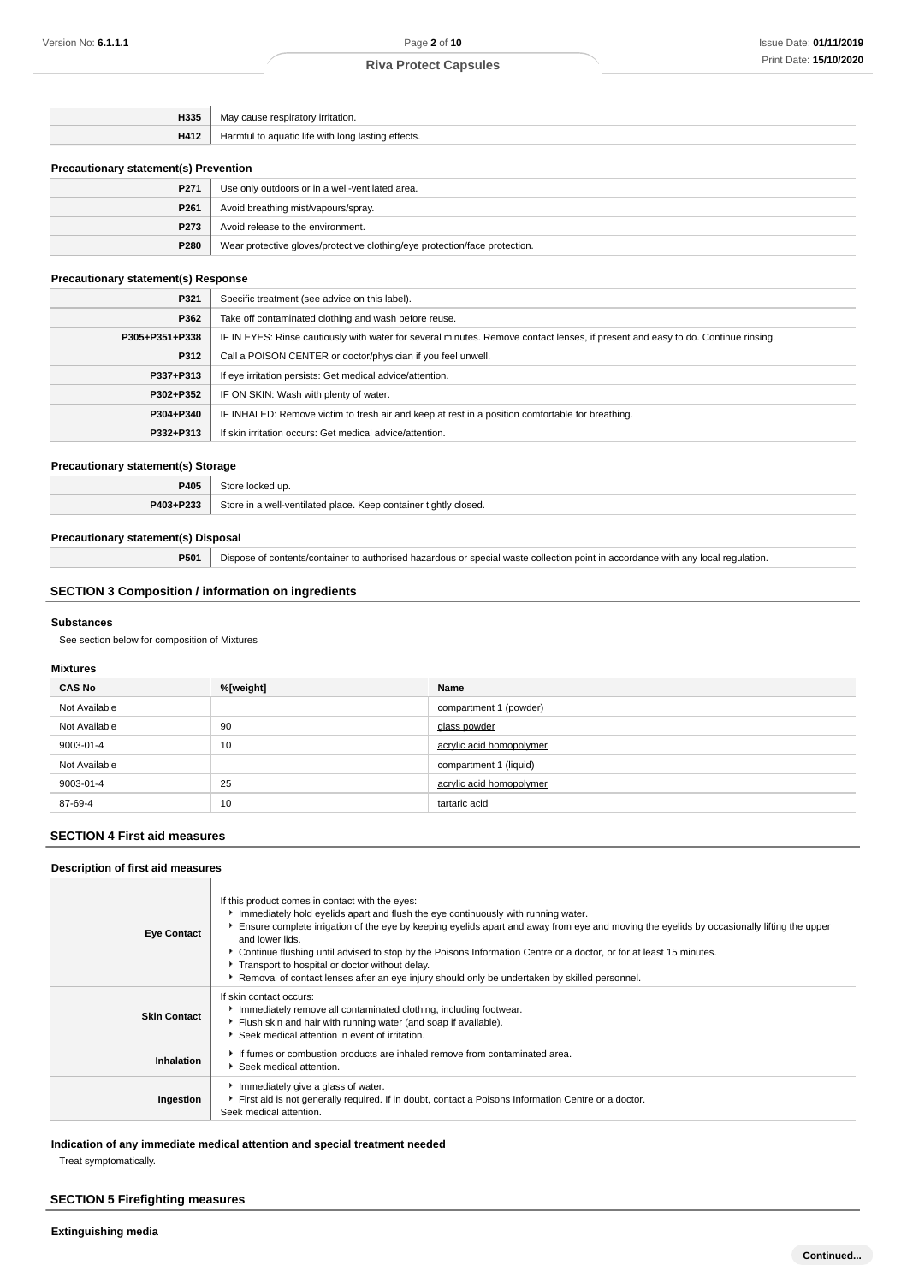| 11001           |          |
|-----------------|----------|
| H4 <sup>.</sup> | effects. |
|                 |          |

## **Precautionary statement(s) Prevention**

| P271             | Use only outdoors or in a well-ventilated area.                            |
|------------------|----------------------------------------------------------------------------|
| P <sub>261</sub> | Avoid breathing mist/vapours/spray.                                        |
| P <sub>273</sub> | Avoid release to the environment.                                          |
| P280             | Wear protective gloves/protective clothing/eye protection/face protection. |

#### **Precautionary statement(s) Response**

| P321           | Specific treatment (see advice on this label).                                                                                   |
|----------------|----------------------------------------------------------------------------------------------------------------------------------|
| P362           | Take off contaminated clothing and wash before reuse.                                                                            |
| P305+P351+P338 | IF IN EYES: Rinse cautiously with water for several minutes. Remove contact lenses, if present and easy to do. Continue rinsing. |
| P312           | Call a POISON CENTER or doctor/physician if you feel unwell.                                                                     |
| P337+P313      | If eye irritation persists: Get medical advice/attention.                                                                        |
| P302+P352      | IF ON SKIN: Wash with plenty of water.                                                                                           |
| P304+P340      | IF INHALED: Remove victim to fresh air and keep at rest in a position comfortable for breathing.                                 |
| P332+P313      | If skin irritation occurs: Get medical advice/attention.                                                                         |

#### **Precautionary statement(s) Storage**

| P405             | up                                                                                          |
|------------------|---------------------------------------------------------------------------------------------|
| <b>DA03+D933</b> | Store in a well-ventilated n'a<br>∵tiahtIv<br>' place.<br>∵closed.<br>Keer<br>containe<br>. |

#### **Precautionary statement(s) Disposal**

**P501** Dispose of contents/container to authorised hazardous or special waste collection point in accordance with any local regulation.

## **SECTION 3 Composition / information on ingredients**

#### **Substances**

See section below for composition of Mixtures

#### **Mixtures**

| <b>CAS No</b> | %[weight] | Name                     |  |
|---------------|-----------|--------------------------|--|
| Not Available |           | compartment 1 (powder)   |  |
| Not Available | 90        | glass powder             |  |
| 9003-01-4     | 10        | acrylic acid homopolymer |  |
| Not Available |           | compartment 1 (liquid)   |  |
| 9003-01-4     | 25        | acrylic acid homopolymer |  |
| 87-69-4       | 10        | tartaric acid            |  |

## **SECTION 4 First aid measures**

#### **Description of first aid measures**

| <b>Eye Contact</b>  | If this product comes in contact with the eyes:<br>Immediately hold eyelids apart and flush the eye continuously with running water.<br>Ensure complete irrigation of the eye by keeping eyelids apart and away from eye and moving the eyelids by occasionally lifting the upper<br>and lower lids.<br>▶ Continue flushing until advised to stop by the Poisons Information Centre or a doctor, or for at least 15 minutes.<br>Transport to hospital or doctor without delay.<br>Removal of contact lenses after an eye injury should only be undertaken by skilled personnel. |
|---------------------|---------------------------------------------------------------------------------------------------------------------------------------------------------------------------------------------------------------------------------------------------------------------------------------------------------------------------------------------------------------------------------------------------------------------------------------------------------------------------------------------------------------------------------------------------------------------------------|
| <b>Skin Contact</b> | If skin contact occurs:<br>Immediately remove all contaminated clothing, including footwear.<br>Flush skin and hair with running water (and soap if available).<br>Seek medical attention in event of irritation.                                                                                                                                                                                                                                                                                                                                                               |
| Inhalation          | If fumes or combustion products are inhaled remove from contaminated area.<br>Seek medical attention.                                                                                                                                                                                                                                                                                                                                                                                                                                                                           |
| Ingestion           | Immediately give a glass of water.<br>First aid is not generally required. If in doubt, contact a Poisons Information Centre or a doctor.<br>Seek medical attention.                                                                                                                                                                                                                                                                                                                                                                                                            |

## **Indication of any immediate medical attention and special treatment needed**

Treat symptomatically.

## **SECTION 5 Firefighting measures**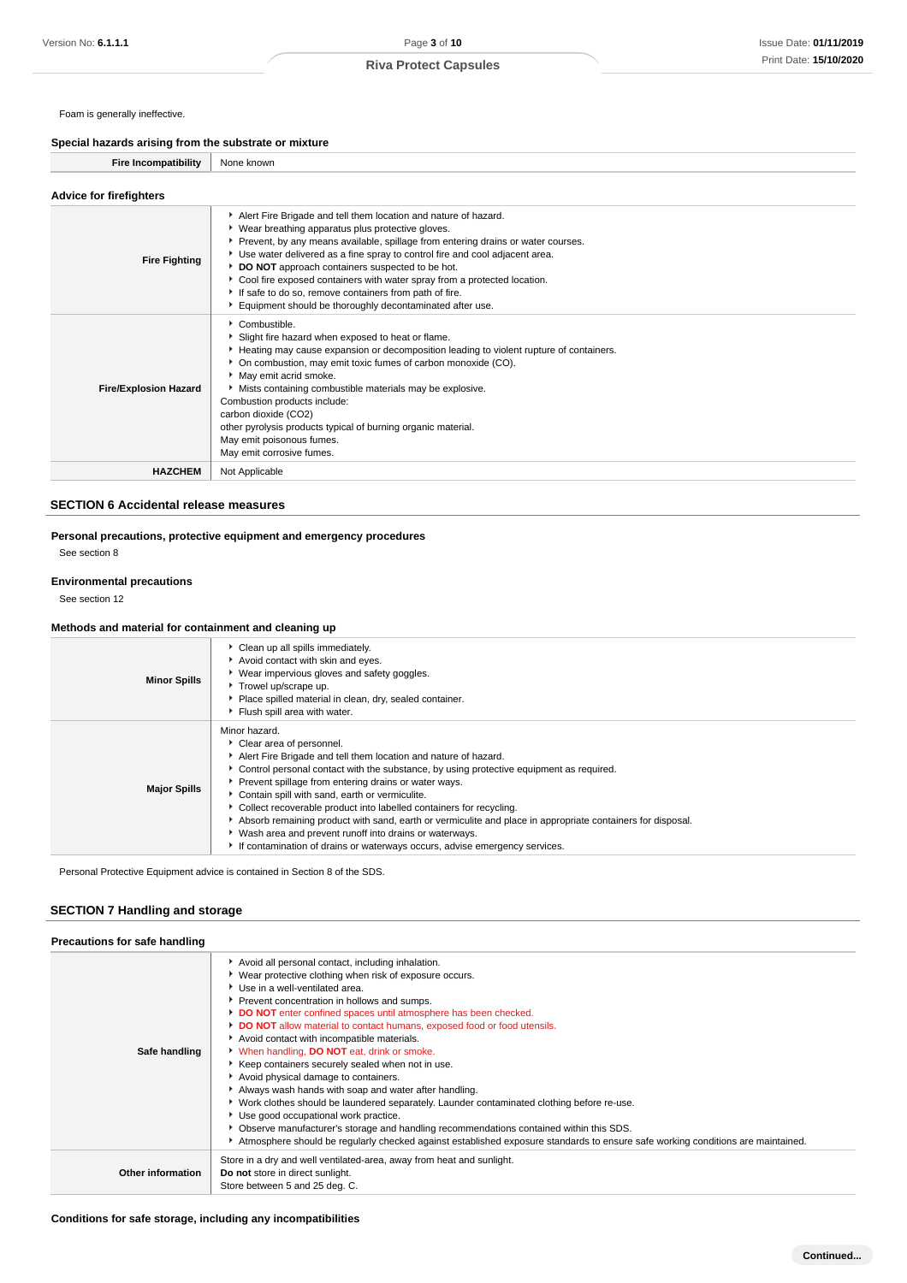Foam is generally ineffective.

**Special hazards arising from the substrate or mixture**

| Fire Incompatibility   None known |                                                                 |
|-----------------------------------|-----------------------------------------------------------------|
| <b>Advice for firefighters</b>    |                                                                 |
|                                   | Alert Fire Brigade and tell them location and nature of hazard. |

| <b>Fire Fighting</b>         | P. Alert Fire Drigage and ten trient location and nature of nazard.<br>▶ Wear breathing apparatus plus protective gloves.<br>• Prevent, by any means available, spillage from entering drains or water courses.<br>► Use water delivered as a fine spray to control fire and cool adjacent area.<br>DO NOT approach containers suspected to be hot.<br>Cool fire exposed containers with water spray from a protected location.<br>If safe to do so, remove containers from path of fire.<br>Equipment should be thoroughly decontaminated after use. |
|------------------------------|-------------------------------------------------------------------------------------------------------------------------------------------------------------------------------------------------------------------------------------------------------------------------------------------------------------------------------------------------------------------------------------------------------------------------------------------------------------------------------------------------------------------------------------------------------|
| <b>Fire/Explosion Hazard</b> | $\blacktriangleright$ Combustible.<br>Slight fire hazard when exposed to heat or flame.<br>Heating may cause expansion or decomposition leading to violent rupture of containers.<br>▶ On combustion, may emit toxic fumes of carbon monoxide (CO).<br>May emit acrid smoke.<br>Mists containing combustible materials may be explosive.<br>Combustion products include:<br>carbon dioxide (CO2)<br>other pyrolysis products typical of burning organic material.<br>May emit poisonous fumes.<br>May emit corrosive fumes.                           |
| <b>HAZCHEM</b>               | Not Applicable                                                                                                                                                                                                                                                                                                                                                                                                                                                                                                                                        |

#### **SECTION 6 Accidental release measures**

**Personal precautions, protective equipment and emergency procedures** See section 8

#### **Environmental precautions**

See section 12

#### **Methods and material for containment and cleaning up**

| <b>Minor Spills</b> | • Clean up all spills immediately.<br>Avoid contact with skin and eyes.<br>▶ Wear impervious gloves and safety goggles.<br>Trowel up/scrape up.<br>Place spilled material in clean, dry, sealed container.<br>Flush spill area with water.                                                                                                                                                                                                                                                                                                                                                                                                         |
|---------------------|----------------------------------------------------------------------------------------------------------------------------------------------------------------------------------------------------------------------------------------------------------------------------------------------------------------------------------------------------------------------------------------------------------------------------------------------------------------------------------------------------------------------------------------------------------------------------------------------------------------------------------------------------|
| <b>Major Spills</b> | Minor hazard.<br>Clear area of personnel.<br>Alert Fire Brigade and tell them location and nature of hazard.<br>• Control personal contact with the substance, by using protective equipment as required.<br>Prevent spillage from entering drains or water ways.<br>Contain spill with sand, earth or vermiculite.<br>Collect recoverable product into labelled containers for recycling.<br>Absorb remaining product with sand, earth or vermiculite and place in appropriate containers for disposal.<br>▶ Wash area and prevent runoff into drains or waterways.<br>If contamination of drains or waterways occurs, advise emergency services. |

Personal Protective Equipment advice is contained in Section 8 of the SDS.

## **SECTION 7 Handling and storage**

| Precautions for safe handling |                                                                                                                                                                                                                                                                                                                                                                                                                                                                                                                                                                                                                                                                                                                                                                                                                                                                                                                                                                       |
|-------------------------------|-----------------------------------------------------------------------------------------------------------------------------------------------------------------------------------------------------------------------------------------------------------------------------------------------------------------------------------------------------------------------------------------------------------------------------------------------------------------------------------------------------------------------------------------------------------------------------------------------------------------------------------------------------------------------------------------------------------------------------------------------------------------------------------------------------------------------------------------------------------------------------------------------------------------------------------------------------------------------|
| Safe handling                 | Avoid all personal contact, including inhalation.<br>▶ Wear protective clothing when risk of exposure occurs.<br>Use in a well-ventilated area.<br>Prevent concentration in hollows and sumps.<br>DO NOT enter confined spaces until atmosphere has been checked.<br>DO NOT allow material to contact humans, exposed food or food utensils.<br>Avoid contact with incompatible materials.<br>V When handling, DO NOT eat, drink or smoke.<br>Keep containers securely sealed when not in use.<br>Avoid physical damage to containers.<br>Always wash hands with soap and water after handling.<br>▶ Work clothes should be laundered separately. Launder contaminated clothing before re-use.<br>Use good occupational work practice.<br>• Observe manufacturer's storage and handling recommendations contained within this SDS.<br>Atmosphere should be regularly checked against established exposure standards to ensure safe working conditions are maintained. |
| <b>Other information</b>      | Store in a dry and well ventilated-area, away from heat and sunlight.<br>Do not store in direct sunlight.<br>Store between 5 and 25 deg. C.                                                                                                                                                                                                                                                                                                                                                                                                                                                                                                                                                                                                                                                                                                                                                                                                                           |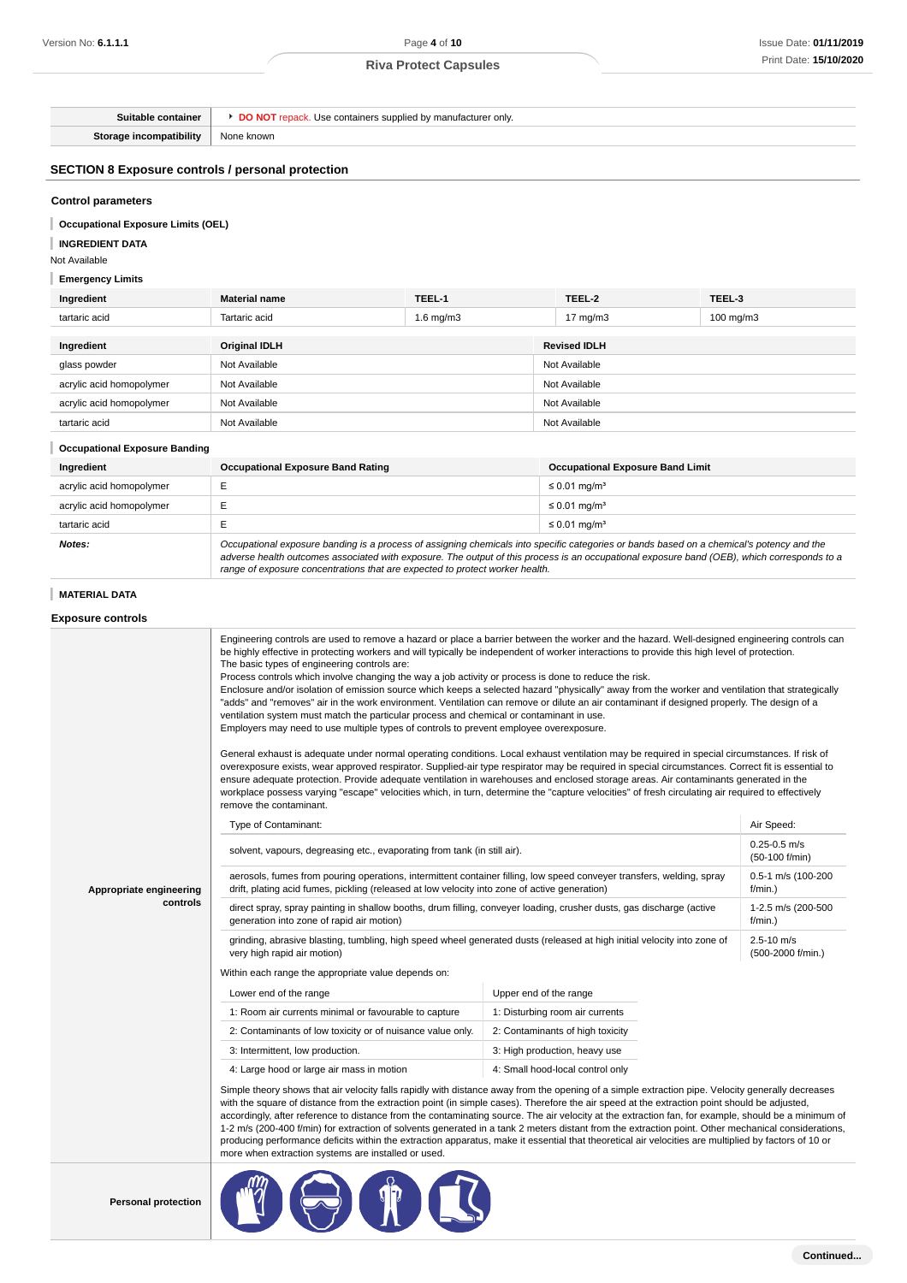| Suitable container                                       | <b>DO NOT</b> repack. Use containers supplied by manufacturer only.                                                                                                                                                                                                                                                                                                                                                                                                                                                                                                                                                                                                                                                                                                                                                                                                                                                                                                                                                                                                                                                                                                                                                                                                                                                                                                                                                          |                                                                                                                                                                                                                                                                                                                                                                          |  |                                         |                               |  |
|----------------------------------------------------------|------------------------------------------------------------------------------------------------------------------------------------------------------------------------------------------------------------------------------------------------------------------------------------------------------------------------------------------------------------------------------------------------------------------------------------------------------------------------------------------------------------------------------------------------------------------------------------------------------------------------------------------------------------------------------------------------------------------------------------------------------------------------------------------------------------------------------------------------------------------------------------------------------------------------------------------------------------------------------------------------------------------------------------------------------------------------------------------------------------------------------------------------------------------------------------------------------------------------------------------------------------------------------------------------------------------------------------------------------------------------------------------------------------------------------|--------------------------------------------------------------------------------------------------------------------------------------------------------------------------------------------------------------------------------------------------------------------------------------------------------------------------------------------------------------------------|--|-----------------------------------------|-------------------------------|--|
| Storage incompatibility                                  | None known                                                                                                                                                                                                                                                                                                                                                                                                                                                                                                                                                                                                                                                                                                                                                                                                                                                                                                                                                                                                                                                                                                                                                                                                                                                                                                                                                                                                                   |                                                                                                                                                                                                                                                                                                                                                                          |  |                                         |                               |  |
| <b>SECTION 8 Exposure controls / personal protection</b> |                                                                                                                                                                                                                                                                                                                                                                                                                                                                                                                                                                                                                                                                                                                                                                                                                                                                                                                                                                                                                                                                                                                                                                                                                                                                                                                                                                                                                              |                                                                                                                                                                                                                                                                                                                                                                          |  |                                         |                               |  |
| <b>Control parameters</b>                                |                                                                                                                                                                                                                                                                                                                                                                                                                                                                                                                                                                                                                                                                                                                                                                                                                                                                                                                                                                                                                                                                                                                                                                                                                                                                                                                                                                                                                              |                                                                                                                                                                                                                                                                                                                                                                          |  |                                         |                               |  |
| <b>Occupational Exposure Limits (OEL)</b>                |                                                                                                                                                                                                                                                                                                                                                                                                                                                                                                                                                                                                                                                                                                                                                                                                                                                                                                                                                                                                                                                                                                                                                                                                                                                                                                                                                                                                                              |                                                                                                                                                                                                                                                                                                                                                                          |  |                                         |                               |  |
| <b>INGREDIENT DATA</b>                                   |                                                                                                                                                                                                                                                                                                                                                                                                                                                                                                                                                                                                                                                                                                                                                                                                                                                                                                                                                                                                                                                                                                                                                                                                                                                                                                                                                                                                                              |                                                                                                                                                                                                                                                                                                                                                                          |  |                                         |                               |  |
| Not Available                                            |                                                                                                                                                                                                                                                                                                                                                                                                                                                                                                                                                                                                                                                                                                                                                                                                                                                                                                                                                                                                                                                                                                                                                                                                                                                                                                                                                                                                                              |                                                                                                                                                                                                                                                                                                                                                                          |  |                                         |                               |  |
| <b>Emergency Limits</b>                                  |                                                                                                                                                                                                                                                                                                                                                                                                                                                                                                                                                                                                                                                                                                                                                                                                                                                                                                                                                                                                                                                                                                                                                                                                                                                                                                                                                                                                                              |                                                                                                                                                                                                                                                                                                                                                                          |  |                                         |                               |  |
| Ingredient                                               | <b>Material name</b>                                                                                                                                                                                                                                                                                                                                                                                                                                                                                                                                                                                                                                                                                                                                                                                                                                                                                                                                                                                                                                                                                                                                                                                                                                                                                                                                                                                                         | TEEL-1                                                                                                                                                                                                                                                                                                                                                                   |  | TEEL-2                                  | TEEL-3                        |  |
| tartaric acid                                            | Tartaric acid                                                                                                                                                                                                                                                                                                                                                                                                                                                                                                                                                                                                                                                                                                                                                                                                                                                                                                                                                                                                                                                                                                                                                                                                                                                                                                                                                                                                                | 1.6 $mg/m3$                                                                                                                                                                                                                                                                                                                                                              |  | 17 $mg/m3$                              | 100 mg/m $3$                  |  |
| Ingredient                                               | <b>Original IDLH</b>                                                                                                                                                                                                                                                                                                                                                                                                                                                                                                                                                                                                                                                                                                                                                                                                                                                                                                                                                                                                                                                                                                                                                                                                                                                                                                                                                                                                         |                                                                                                                                                                                                                                                                                                                                                                          |  | <b>Revised IDLH</b>                     |                               |  |
| glass powder                                             | Not Available                                                                                                                                                                                                                                                                                                                                                                                                                                                                                                                                                                                                                                                                                                                                                                                                                                                                                                                                                                                                                                                                                                                                                                                                                                                                                                                                                                                                                |                                                                                                                                                                                                                                                                                                                                                                          |  | Not Available                           |                               |  |
| acrylic acid homopolymer                                 | Not Available                                                                                                                                                                                                                                                                                                                                                                                                                                                                                                                                                                                                                                                                                                                                                                                                                                                                                                                                                                                                                                                                                                                                                                                                                                                                                                                                                                                                                |                                                                                                                                                                                                                                                                                                                                                                          |  | Not Available                           |                               |  |
| acrylic acid homopolymer                                 | Not Available                                                                                                                                                                                                                                                                                                                                                                                                                                                                                                                                                                                                                                                                                                                                                                                                                                                                                                                                                                                                                                                                                                                                                                                                                                                                                                                                                                                                                |                                                                                                                                                                                                                                                                                                                                                                          |  | Not Available                           |                               |  |
| tartaric acid                                            | Not Available                                                                                                                                                                                                                                                                                                                                                                                                                                                                                                                                                                                                                                                                                                                                                                                                                                                                                                                                                                                                                                                                                                                                                                                                                                                                                                                                                                                                                |                                                                                                                                                                                                                                                                                                                                                                          |  | Not Available                           |                               |  |
| <b>Occupational Exposure Banding</b>                     |                                                                                                                                                                                                                                                                                                                                                                                                                                                                                                                                                                                                                                                                                                                                                                                                                                                                                                                                                                                                                                                                                                                                                                                                                                                                                                                                                                                                                              |                                                                                                                                                                                                                                                                                                                                                                          |  |                                         |                               |  |
| Ingredient                                               | <b>Occupational Exposure Band Rating</b>                                                                                                                                                                                                                                                                                                                                                                                                                                                                                                                                                                                                                                                                                                                                                                                                                                                                                                                                                                                                                                                                                                                                                                                                                                                                                                                                                                                     |                                                                                                                                                                                                                                                                                                                                                                          |  | <b>Occupational Exposure Band Limit</b> |                               |  |
| acrylic acid homopolymer                                 | Е                                                                                                                                                                                                                                                                                                                                                                                                                                                                                                                                                                                                                                                                                                                                                                                                                                                                                                                                                                                                                                                                                                                                                                                                                                                                                                                                                                                                                            |                                                                                                                                                                                                                                                                                                                                                                          |  | $\leq 0.01$ mg/m <sup>3</sup>           |                               |  |
| acrylic acid homopolymer                                 | Ε                                                                                                                                                                                                                                                                                                                                                                                                                                                                                                                                                                                                                                                                                                                                                                                                                                                                                                                                                                                                                                                                                                                                                                                                                                                                                                                                                                                                                            |                                                                                                                                                                                                                                                                                                                                                                          |  | $\leq$ 0.01 mg/m <sup>3</sup>           |                               |  |
| tartaric acid                                            | E                                                                                                                                                                                                                                                                                                                                                                                                                                                                                                                                                                                                                                                                                                                                                                                                                                                                                                                                                                                                                                                                                                                                                                                                                                                                                                                                                                                                                            |                                                                                                                                                                                                                                                                                                                                                                          |  | $\leq$ 0.01 mg/m <sup>3</sup>           |                               |  |
| Notes:                                                   |                                                                                                                                                                                                                                                                                                                                                                                                                                                                                                                                                                                                                                                                                                                                                                                                                                                                                                                                                                                                                                                                                                                                                                                                                                                                                                                                                                                                                              | Occupational exposure banding is a process of assigning chemicals into specific categories or bands based on a chemical's potency and the<br>adverse health outcomes associated with exposure. The output of this process is an occupational exposure band (OEB), which corresponds to a<br>range of exposure concentrations that are expected to protect worker health. |  |                                         |                               |  |
| <b>MATERIAL DATA</b>                                     |                                                                                                                                                                                                                                                                                                                                                                                                                                                                                                                                                                                                                                                                                                                                                                                                                                                                                                                                                                                                                                                                                                                                                                                                                                                                                                                                                                                                                              |                                                                                                                                                                                                                                                                                                                                                                          |  |                                         |                               |  |
| <b>Exposure controls</b>                                 |                                                                                                                                                                                                                                                                                                                                                                                                                                                                                                                                                                                                                                                                                                                                                                                                                                                                                                                                                                                                                                                                                                                                                                                                                                                                                                                                                                                                                              |                                                                                                                                                                                                                                                                                                                                                                          |  |                                         |                               |  |
|                                                          | be highly effective in protecting workers and will typically be independent of worker interactions to provide this high level of protection.<br>The basic types of engineering controls are:<br>Process controls which involve changing the way a job activity or process is done to reduce the risk.<br>Enclosure and/or isolation of emission source which keeps a selected hazard "physically" away from the worker and ventilation that strategically<br>"adds" and "removes" air in the work environment. Ventilation can remove or dilute an air contaminant if designed properly. The design of a<br>ventilation system must match the particular process and chemical or contaminant in use.<br>Employers may need to use multiple types of controls to prevent employee overexposure.<br>General exhaust is adequate under normal operating conditions. Local exhaust ventilation may be required in special circumstances. If risk of<br>overexposure exists, wear approved respirator. Supplied-air type respirator may be required in special circumstances. Correct fit is essential to<br>ensure adequate protection. Provide adequate ventilation in warehouses and enclosed storage areas. Air contaminants generated in the<br>workplace possess varying "escape" velocities which, in turn, determine the "capture velocities" of fresh circulating air required to effectively<br>remove the contaminant. |                                                                                                                                                                                                                                                                                                                                                                          |  |                                         |                               |  |
|                                                          | Type of Contaminant:                                                                                                                                                                                                                                                                                                                                                                                                                                                                                                                                                                                                                                                                                                                                                                                                                                                                                                                                                                                                                                                                                                                                                                                                                                                                                                                                                                                                         |                                                                                                                                                                                                                                                                                                                                                                          |  | Air Speed:                              |                               |  |
|                                                          | solvent, vapours, degreasing etc., evaporating from tank (in still air).                                                                                                                                                                                                                                                                                                                                                                                                                                                                                                                                                                                                                                                                                                                                                                                                                                                                                                                                                                                                                                                                                                                                                                                                                                                                                                                                                     |                                                                                                                                                                                                                                                                                                                                                                          |  | $0.25 - 0.5$ m/s<br>(50-100 f/min)      |                               |  |
| Appropriate engineering                                  | aerosols, fumes from pouring operations, intermittent container filling, low speed conveyer transfers, welding, spray<br>drift, plating acid fumes, pickling (released at low velocity into zone of active generation)                                                                                                                                                                                                                                                                                                                                                                                                                                                                                                                                                                                                                                                                                                                                                                                                                                                                                                                                                                                                                                                                                                                                                                                                       |                                                                                                                                                                                                                                                                                                                                                                          |  |                                         | 0.5-1 m/s (100-200<br>f/min.) |  |
| controls                                                 | direct spray, spray painting in shallow booths, drum filling, conveyer loading, crusher dusts, gas discharge (active<br>generation into zone of rapid air motion)                                                                                                                                                                                                                                                                                                                                                                                                                                                                                                                                                                                                                                                                                                                                                                                                                                                                                                                                                                                                                                                                                                                                                                                                                                                            |                                                                                                                                                                                                                                                                                                                                                                          |  | 1-2.5 m/s (200-500<br>f/min.)           |                               |  |
|                                                          | grinding, abrasive blasting, tumbling, high speed wheel generated dusts (released at high initial velocity into zone of<br>very high rapid air motion)                                                                                                                                                                                                                                                                                                                                                                                                                                                                                                                                                                                                                                                                                                                                                                                                                                                                                                                                                                                                                                                                                                                                                                                                                                                                       |                                                                                                                                                                                                                                                                                                                                                                          |  | $2.5 - 10$ m/s<br>(500-2000 f/min.)     |                               |  |
|                                                          | Within each range the appropriate value depends on:                                                                                                                                                                                                                                                                                                                                                                                                                                                                                                                                                                                                                                                                                                                                                                                                                                                                                                                                                                                                                                                                                                                                                                                                                                                                                                                                                                          |                                                                                                                                                                                                                                                                                                                                                                          |  |                                         |                               |  |
|                                                          | Upper end of the range<br>Lower end of the range                                                                                                                                                                                                                                                                                                                                                                                                                                                                                                                                                                                                                                                                                                                                                                                                                                                                                                                                                                                                                                                                                                                                                                                                                                                                                                                                                                             |                                                                                                                                                                                                                                                                                                                                                                          |  |                                         |                               |  |
|                                                          | 1: Room air currents minimal or favourable to capture<br>1: Disturbing room air currents                                                                                                                                                                                                                                                                                                                                                                                                                                                                                                                                                                                                                                                                                                                                                                                                                                                                                                                                                                                                                                                                                                                                                                                                                                                                                                                                     |                                                                                                                                                                                                                                                                                                                                                                          |  |                                         |                               |  |
|                                                          | 2: Contaminants of low toxicity or of nuisance value only.<br>2: Contaminants of high toxicity                                                                                                                                                                                                                                                                                                                                                                                                                                                                                                                                                                                                                                                                                                                                                                                                                                                                                                                                                                                                                                                                                                                                                                                                                                                                                                                               |                                                                                                                                                                                                                                                                                                                                                                          |  |                                         |                               |  |
|                                                          | 3: Intermittent, low production.<br>3: High production, heavy use                                                                                                                                                                                                                                                                                                                                                                                                                                                                                                                                                                                                                                                                                                                                                                                                                                                                                                                                                                                                                                                                                                                                                                                                                                                                                                                                                            |                                                                                                                                                                                                                                                                                                                                                                          |  |                                         |                               |  |
|                                                          | 4: Large hood or large air mass in motion                                                                                                                                                                                                                                                                                                                                                                                                                                                                                                                                                                                                                                                                                                                                                                                                                                                                                                                                                                                                                                                                                                                                                                                                                                                                                                                                                                                    |                                                                                                                                                                                                                                                                                                                                                                          |  | 4: Small hood-local control only        |                               |  |
|                                                          | Simple theory shows that air velocity falls rapidly with distance away from the opening of a simple extraction pipe. Velocity generally decreases<br>with the square of distance from the extraction point (in simple cases). Therefore the air speed at the extraction point should be adjusted,<br>accordingly, after reference to distance from the contaminating source. The air velocity at the extraction fan, for example, should be a minimum of<br>1-2 m/s (200-400 f/min) for extraction of solvents generated in a tank 2 meters distant from the extraction point. Other mechanical considerations,<br>producing performance deficits within the extraction apparatus, make it essential that theoretical air velocities are multiplied by factors of 10 or<br>more when extraction systems are installed or used.                                                                                                                                                                                                                                                                                                                                                                                                                                                                                                                                                                                               |                                                                                                                                                                                                                                                                                                                                                                          |  |                                         |                               |  |
|                                                          |                                                                                                                                                                                                                                                                                                                                                                                                                                                                                                                                                                                                                                                                                                                                                                                                                                                                                                                                                                                                                                                                                                                                                                                                                                                                                                                                                                                                                              |                                                                                                                                                                                                                                                                                                                                                                          |  |                                         |                               |  |

**Personal protection**

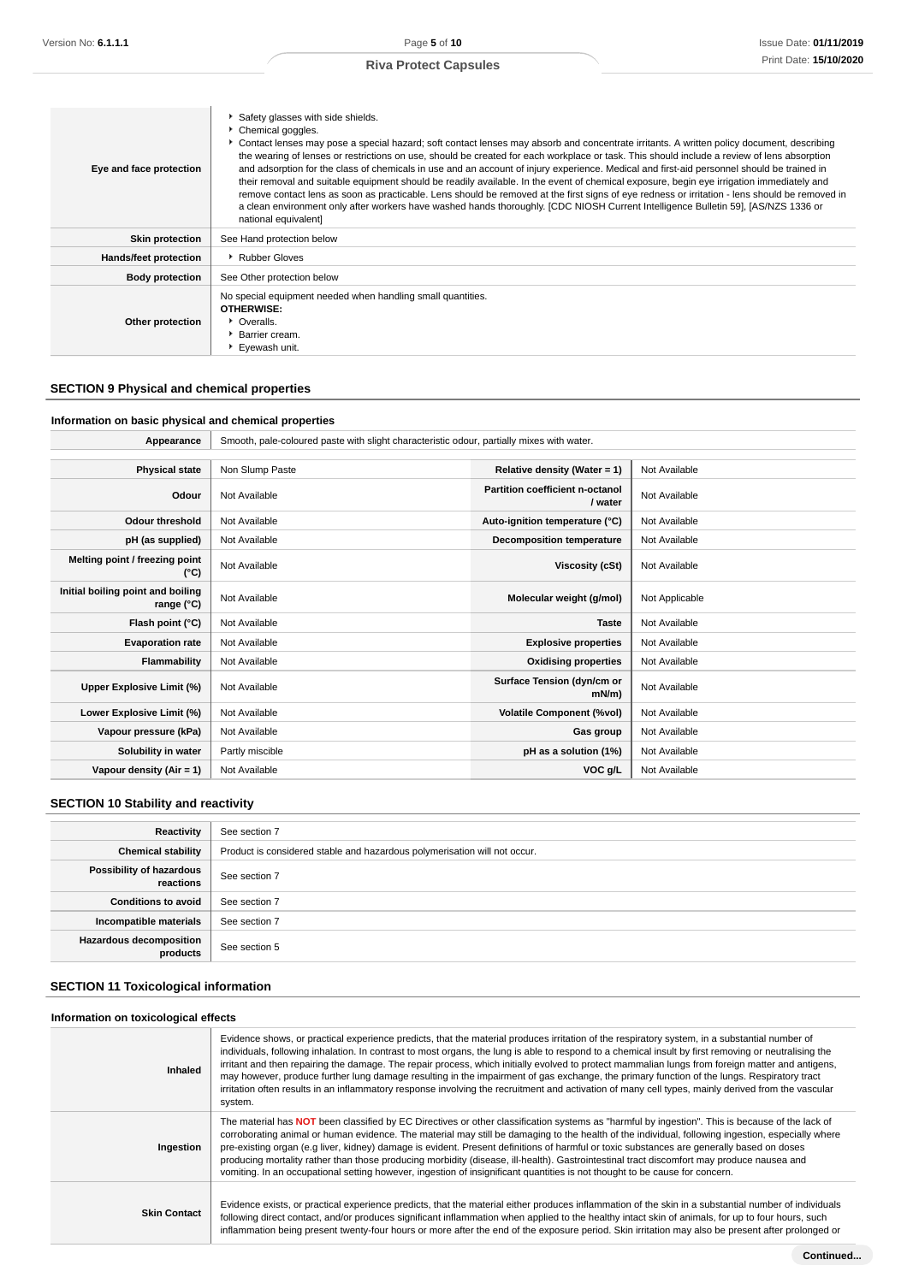| Eye and face protection | Safety glasses with side shields.<br>Chemical goggles.<br>Contact lenses may pose a special hazard; soft contact lenses may absorb and concentrate irritants. A written policy document, describing<br>the wearing of lenses or restrictions on use, should be created for each workplace or task. This should include a review of lens absorption<br>and adsorption for the class of chemicals in use and an account of injury experience. Medical and first-aid personnel should be trained in<br>their removal and suitable equipment should be readily available. In the event of chemical exposure, begin eye irrigation immediately and<br>remove contact lens as soon as practicable. Lens should be removed at the first signs of eye redness or irritation - lens should be removed in<br>a clean environment only after workers have washed hands thoroughly. [CDC NIOSH Current Intelligence Bulletin 59], [AS/NZS 1336 or<br>national equivalent] |
|-------------------------|---------------------------------------------------------------------------------------------------------------------------------------------------------------------------------------------------------------------------------------------------------------------------------------------------------------------------------------------------------------------------------------------------------------------------------------------------------------------------------------------------------------------------------------------------------------------------------------------------------------------------------------------------------------------------------------------------------------------------------------------------------------------------------------------------------------------------------------------------------------------------------------------------------------------------------------------------------------|
| <b>Skin protection</b>  | See Hand protection below                                                                                                                                                                                                                                                                                                                                                                                                                                                                                                                                                                                                                                                                                                                                                                                                                                                                                                                                     |
| Hands/feet protection   | Rubber Gloves                                                                                                                                                                                                                                                                                                                                                                                                                                                                                                                                                                                                                                                                                                                                                                                                                                                                                                                                                 |
| <b>Body protection</b>  | See Other protection below                                                                                                                                                                                                                                                                                                                                                                                                                                                                                                                                                                                                                                                                                                                                                                                                                                                                                                                                    |
| Other protection        | No special equipment needed when handling small quantities.<br><b>OTHERWISE:</b><br>• Overalls.<br>▶ Barrier cream.<br>Eyewash unit.                                                                                                                                                                                                                                                                                                                                                                                                                                                                                                                                                                                                                                                                                                                                                                                                                          |

## **SECTION 9 Physical and chemical properties**

## **Information on basic physical and chemical properties**

| Appearance                                      | Smooth, pale-coloured paste with slight characteristic odour, partially mixes with water. |                                            |                |
|-------------------------------------------------|-------------------------------------------------------------------------------------------|--------------------------------------------|----------------|
|                                                 |                                                                                           |                                            |                |
| <b>Physical state</b>                           | Non Slump Paste                                                                           | Relative density (Water = 1)               | Not Available  |
| Odour                                           | Not Available                                                                             | Partition coefficient n-octanol<br>/ water | Not Available  |
| <b>Odour threshold</b>                          | Not Available                                                                             | Auto-ignition temperature (°C)             | Not Available  |
| pH (as supplied)                                | Not Available                                                                             | Decomposition temperature                  | Not Available  |
| Melting point / freezing point<br>(°C)          | Not Available                                                                             | Viscosity (cSt)                            | Not Available  |
| Initial boiling point and boiling<br>range (°C) | Not Available                                                                             | Molecular weight (g/mol)                   | Not Applicable |
| Flash point (°C)                                | Not Available                                                                             | <b>Taste</b>                               | Not Available  |
| <b>Evaporation rate</b>                         | Not Available                                                                             | <b>Explosive properties</b>                | Not Available  |
| Flammability                                    | Not Available                                                                             | <b>Oxidising properties</b>                | Not Available  |
| Upper Explosive Limit (%)                       | Not Available                                                                             | Surface Tension (dyn/cm or<br>mN/m         | Not Available  |
| Lower Explosive Limit (%)                       | Not Available                                                                             | <b>Volatile Component (%vol)</b>           | Not Available  |
| Vapour pressure (kPa)                           | Not Available                                                                             | Gas group                                  | Not Available  |
| Solubility in water                             | Partly miscible                                                                           | pH as a solution (1%)                      | Not Available  |
| Vapour density (Air = 1)                        | Not Available                                                                             | VOC g/L                                    | Not Available  |

## **SECTION 10 Stability and reactivity**

| Reactivity                            | See section 7                                                             |
|---------------------------------------|---------------------------------------------------------------------------|
| <b>Chemical stability</b>             | Product is considered stable and hazardous polymerisation will not occur. |
| Possibility of hazardous<br>reactions | See section 7                                                             |
| <b>Conditions to avoid</b>            | See section 7                                                             |
| Incompatible materials                | See section 7                                                             |
| Hazardous decomposition<br>products   | See section 5                                                             |

## **SECTION 11 Toxicological information**

## **Information on toxicological effects**

| Inhaled             | Evidence shows, or practical experience predicts, that the material produces irritation of the respiratory system, in a substantial number of<br>individuals, following inhalation. In contrast to most organs, the lung is able to respond to a chemical insult by first removing or neutralising the<br>irritant and then repairing the damage. The repair process, which initially evolved to protect mammalian lungs from foreign matter and antigens,<br>may however, produce further lung damage resulting in the impairment of gas exchange, the primary function of the lungs. Respiratory tract<br>irritation often results in an inflammatory response involving the recruitment and activation of many cell types, mainly derived from the vascular<br>system. |
|---------------------|---------------------------------------------------------------------------------------------------------------------------------------------------------------------------------------------------------------------------------------------------------------------------------------------------------------------------------------------------------------------------------------------------------------------------------------------------------------------------------------------------------------------------------------------------------------------------------------------------------------------------------------------------------------------------------------------------------------------------------------------------------------------------|
| Ingestion           | The material has NOT been classified by EC Directives or other classification systems as "harmful by ingestion". This is because of the lack of<br>corroborating animal or human evidence. The material may still be damaging to the health of the individual, following ingestion, especially where<br>pre-existing organ (e.g liver, kidney) damage is evident. Present definitions of harmful or toxic substances are generally based on doses<br>producing mortality rather than those producing morbidity (disease, ill-health). Gastrointestinal tract discomfort may produce nausea and<br>vomiting. In an occupational setting however, ingestion of insignificant quantities is not thought to be cause for concern.                                             |
| <b>Skin Contact</b> | Evidence exists, or practical experience predicts, that the material either produces inflammation of the skin in a substantial number of individuals<br>following direct contact, and/or produces significant inflammation when applied to the healthy intact skin of animals, for up to four hours, such<br>inflammation being present twenty-four hours or more after the end of the exposure period. Skin irritation may also be present after prolonged or                                                                                                                                                                                                                                                                                                            |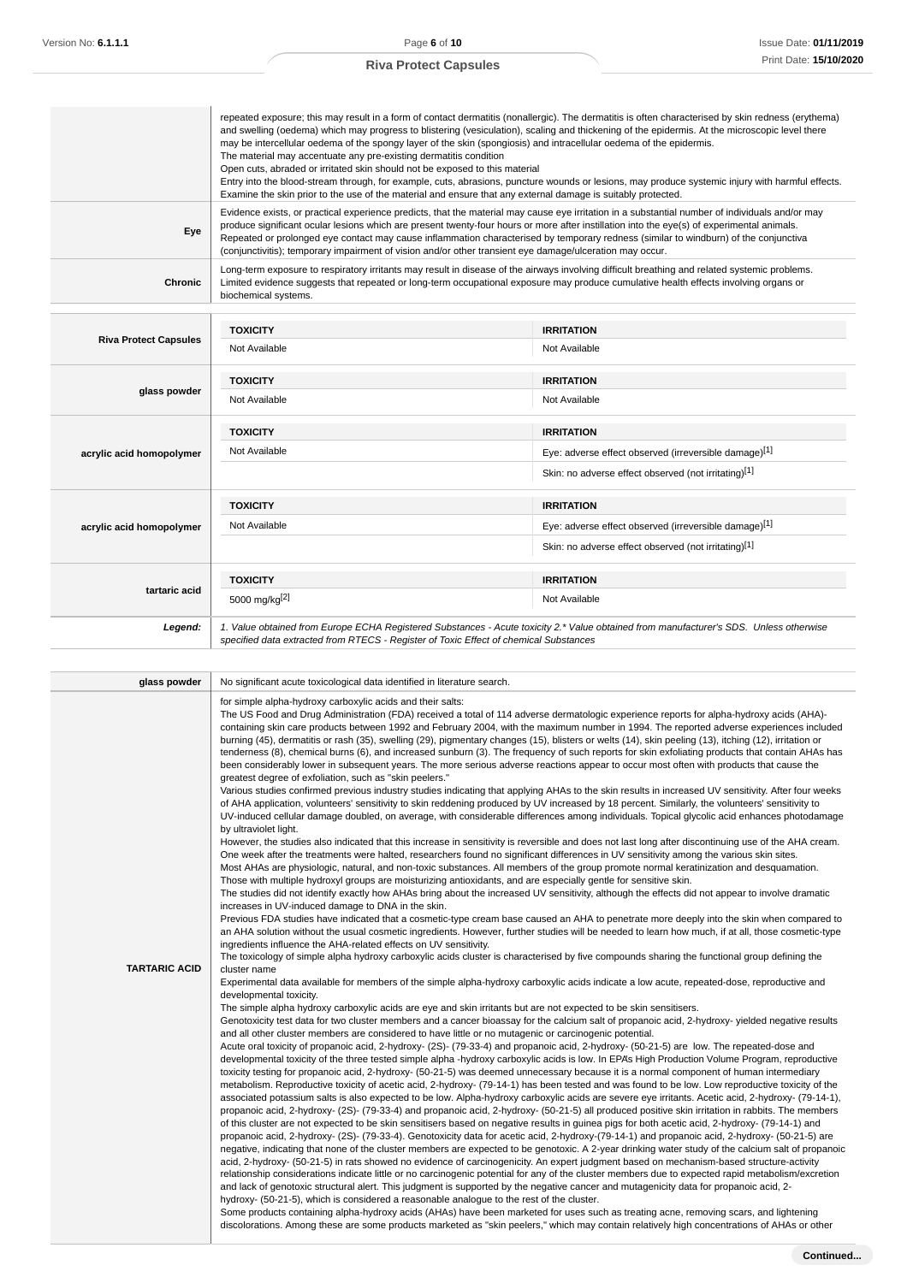|         | repeated exposure; this may result in a form of contact dermatitis (nonallergic). The dermatitis is often characterised by skin redness (erythema)<br>and swelling (oedema) which may progress to blistering (vesiculation), scaling and thickening of the epidermis. At the microscopic level there<br>may be intercellular oedema of the spongy layer of the skin (spongiosis) and intracellular oedema of the epidermis.<br>The material may accentuate any pre-existing dermatitis condition<br>Open cuts, abraded or irritated skin should not be exposed to this material<br>Entry into the blood-stream through, for example, cuts, abrasions, puncture wounds or lesions, may produce systemic injury with harmful effects.<br>Examine the skin prior to the use of the material and ensure that any external damage is suitably protected. |
|---------|-----------------------------------------------------------------------------------------------------------------------------------------------------------------------------------------------------------------------------------------------------------------------------------------------------------------------------------------------------------------------------------------------------------------------------------------------------------------------------------------------------------------------------------------------------------------------------------------------------------------------------------------------------------------------------------------------------------------------------------------------------------------------------------------------------------------------------------------------------|
| Eye     | Evidence exists, or practical experience predicts, that the material may cause eye irritation in a substantial number of individuals and/or may<br>produce significant ocular lesions which are present twenty-four hours or more after instillation into the eye(s) of experimental animals.<br>Repeated or prolonged eye contact may cause inflammation characterised by temporary redness (similar to windburn) of the conjunctiva<br>(conjunctivitis); temporary impairment of vision and/or other transient eye damage/ulceration may occur.                                                                                                                                                                                                                                                                                                   |
| Chronic | Long-term exposure to respiratory irritants may result in disease of the airways involving difficult breathing and related systemic problems.<br>Limited evidence suggests that repeated or long-term occupational exposure may produce cumulative health effects involving organs or<br>biochemical systems.                                                                                                                                                                                                                                                                                                                                                                                                                                                                                                                                       |
|         |                                                                                                                                                                                                                                                                                                                                                                                                                                                                                                                                                                                                                                                                                                                                                                                                                                                     |

| <b>Riva Protect Capsules</b> | <b>TOXICITY</b>                                                                                                                                                                                                                 | <b>IRRITATION</b>                                     |
|------------------------------|---------------------------------------------------------------------------------------------------------------------------------------------------------------------------------------------------------------------------------|-------------------------------------------------------|
|                              | Not Available                                                                                                                                                                                                                   | Not Available                                         |
|                              | <b>TOXICITY</b>                                                                                                                                                                                                                 | <b>IRRITATION</b>                                     |
| glass powder                 | Not Available                                                                                                                                                                                                                   | Not Available                                         |
|                              | <b>TOXICITY</b>                                                                                                                                                                                                                 | <b>IRRITATION</b>                                     |
| acrylic acid homopolymer     | Not Available                                                                                                                                                                                                                   | Eye: adverse effect observed (irreversible damage)[1] |
|                              |                                                                                                                                                                                                                                 | Skin: no adverse effect observed (not irritating)[1]  |
|                              | <b>TOXICITY</b>                                                                                                                                                                                                                 | <b>IRRITATION</b>                                     |
| acrylic acid homopolymer     | Not Available                                                                                                                                                                                                                   | Eye: adverse effect observed (irreversible damage)[1] |
|                              |                                                                                                                                                                                                                                 | Skin: no adverse effect observed (not irritating)[1]  |
|                              | <b>TOXICITY</b>                                                                                                                                                                                                                 | <b>IRRITATION</b>                                     |
| tartaric acid                | 5000 mg/kg <sup>[2]</sup>                                                                                                                                                                                                       | Not Available                                         |
| Legend:                      | 1. Value obtained from Europe ECHA Registered Substances - Acute toxicity 2.* Value obtained from manufacturer's SDS. Unless otherwise<br>specified data extracted from RTECS - Register of Toxic Effect of chemical Substances |                                                       |

| glass powder         | No significant acute toxicological data identified in literature search.                                                                                                                                                                                                                                                                                                                                                                                                                                                                                                                                                                                                                                                                                                                                                                                                                                                                                                                                                                                                                                                                                                                                                                                                                                                                                                                                                                                                                                                                                                                                                                                                                                                                                                                                                                                                                                                                                                                                                                                                                                                                                                                                                                                                                                                                                                                                                                                                                                                                                                                                                                                                                                                                                                                                                                                                                                                                                                                                                                                                                                                                                                                                                                                                                                                                                                                                                                                                                                                                                                                                                                                                                                                                                                                                                                                                                                                                                                                                                                                                                                                                                                                                                                                                                                                                                                                                                                                                                                                                                                                                                                                                                                                                                                                                                                                                                                                                                                                                                                                                                                                                                                                                                                                                                                                                                                                                                                   |
|----------------------|--------------------------------------------------------------------------------------------------------------------------------------------------------------------------------------------------------------------------------------------------------------------------------------------------------------------------------------------------------------------------------------------------------------------------------------------------------------------------------------------------------------------------------------------------------------------------------------------------------------------------------------------------------------------------------------------------------------------------------------------------------------------------------------------------------------------------------------------------------------------------------------------------------------------------------------------------------------------------------------------------------------------------------------------------------------------------------------------------------------------------------------------------------------------------------------------------------------------------------------------------------------------------------------------------------------------------------------------------------------------------------------------------------------------------------------------------------------------------------------------------------------------------------------------------------------------------------------------------------------------------------------------------------------------------------------------------------------------------------------------------------------------------------------------------------------------------------------------------------------------------------------------------------------------------------------------------------------------------------------------------------------------------------------------------------------------------------------------------------------------------------------------------------------------------------------------------------------------------------------------------------------------------------------------------------------------------------------------------------------------------------------------------------------------------------------------------------------------------------------------------------------------------------------------------------------------------------------------------------------------------------------------------------------------------------------------------------------------------------------------------------------------------------------------------------------------------------------------------------------------------------------------------------------------------------------------------------------------------------------------------------------------------------------------------------------------------------------------------------------------------------------------------------------------------------------------------------------------------------------------------------------------------------------------------------------------------------------------------------------------------------------------------------------------------------------------------------------------------------------------------------------------------------------------------------------------------------------------------------------------------------------------------------------------------------------------------------------------------------------------------------------------------------------------------------------------------------------------------------------------------------------------------------------------------------------------------------------------------------------------------------------------------------------------------------------------------------------------------------------------------------------------------------------------------------------------------------------------------------------------------------------------------------------------------------------------------------------------------------------------------------------------------------------------------------------------------------------------------------------------------------------------------------------------------------------------------------------------------------------------------------------------------------------------------------------------------------------------------------------------------------------------------------------------------------------------------------------------------------------------------------------------------------------------------------------------------------------------------------------------------------------------------------------------------------------------------------------------------------------------------------------------------------------------------------------------------------------------------------------------------------------------------------------------------------------------------------------------------------------------------------------------------------------------------------------------|
| <b>TARTARIC ACID</b> | for simple alpha-hydroxy carboxylic acids and their salts:<br>The US Food and Drug Administration (FDA) received a total of 114 adverse dermatologic experience reports for alpha-hydroxy acids (AHA)-<br>containing skin care products between 1992 and February 2004, with the maximum number in 1994. The reported adverse experiences included<br>burning (45), dermatitis or rash (35), swelling (29), pigmentary changes (15), blisters or welts (14), skin peeling (13), itching (12), irritation or<br>tenderness (8), chemical burns (6), and increased sunburn (3). The frequency of such reports for skin exfoliating products that contain AHAs has<br>been considerably lower in subsequent years. The more serious adverse reactions appear to occur most often with products that cause the<br>greatest degree of exfoliation, such as "skin peelers."<br>Various studies confirmed previous industry studies indicating that applying AHAs to the skin results in increased UV sensitivity. After four weeks<br>of AHA application, volunteers' sensitivity to skin reddening produced by UV increased by 18 percent. Similarly, the volunteers' sensitivity to<br>UV-induced cellular damage doubled, on average, with considerable differences among individuals. Topical glycolic acid enhances photodamage<br>by ultraviolet light.<br>However, the studies also indicated that this increase in sensitivity is reversible and does not last long after discontinuing use of the AHA cream.<br>One week after the treatments were halted, researchers found no significant differences in UV sensitivity among the various skin sites.<br>Most AHAs are physiologic, natural, and non-toxic substances. All members of the group promote normal keratinization and desquamation.<br>Those with multiple hydroxyl groups are moisturizing antioxidants, and are especially gentle for sensitive skin.<br>The studies did not identify exactly how AHAs bring about the increased UV sensitivity, although the effects did not appear to involve dramatic<br>increases in UV-induced damage to DNA in the skin.<br>Previous FDA studies have indicated that a cosmetic-type cream base caused an AHA to penetrate more deeply into the skin when compared to<br>an AHA solution without the usual cosmetic ingredients. However, further studies will be needed to learn how much, if at all, those cosmetic-type<br>ingredients influence the AHA-related effects on UV sensitivity.<br>The toxicology of simple alpha hydroxy carboxylic acids cluster is characterised by five compounds sharing the functional group defining the<br>cluster name<br>Experimental data available for members of the simple alpha-hydroxy carboxylic acids indicate a low acute, repeated-dose, reproductive and<br>developmental toxicity.<br>The simple alpha hydroxy carboxylic acids are eye and skin irritants but are not expected to be skin sensitisers.<br>Genotoxicity test data for two cluster members and a cancer bioassay for the calcium salt of propanoic acid, 2-hydroxy- yielded negative results<br>and all other cluster members are considered to have little or no mutagenic or carcinogenic potential.<br>Acute oral toxicity of propanoic acid, 2-hydroxy- (2S)- (79-33-4) and propanoic acid, 2-hydroxy- (50-21-5) are low. The repeated-dose and<br>developmental toxicity of the three tested simple alpha -hydroxy carboxylic acids is low. In EPA's High Production Volume Program, reproductive<br>toxicity testing for propanoic acid, 2-hydroxy- (50-21-5) was deemed unnecessary because it is a normal component of human intermediary<br>metabolism. Reproductive toxicity of acetic acid, 2-hydroxy- (79-14-1) has been tested and was found to be low. Low reproductive toxicity of the<br>associated potassium salts is also expected to be low. Alpha-hydroxy carboxylic acids are severe eye irritants. Acetic acid, 2-hydroxy- (79-14-1),<br>propanoic acid, 2-hydroxy- (2S)- (79-33-4) and propanoic acid, 2-hydroxy- (50-21-5) all produced positive skin irritation in rabbits. The members<br>of this cluster are not expected to be skin sensitisers based on negative results in guinea pigs for both acetic acid, 2-hydroxy- (79-14-1) and<br>propanoic acid, 2-hydroxy- (2S)- (79-33-4). Genotoxicity data for acetic acid, 2-hydroxy-(79-14-1) and propanoic acid, 2-hydroxy- (50-21-5) are<br>negative, indicating that none of the cluster members are expected to be genotoxic. A 2-year drinking water study of the calcium salt of propanoic<br>acid, 2-hydroxy- (50-21-5) in rats showed no evidence of carcinogenicity. An expert judgment based on mechanism-based structure-activity<br>relationship considerations indicate little or no carcinogenic potential for any of the cluster members due to expected rapid metabolism/excretion<br>and lack of genotoxic structural alert. This judgment is supported by the negative cancer and mutagenicity data for propanoic acid, 2-<br>hydroxy- (50-21-5), which is considered a reasonable analogue to the rest of the cluster.<br>Some products containing alpha-hydroxy acids (AHAs) have been marketed for uses such as treating acne, removing scars, and lightening<br>discolorations. Among these are some products marketed as "skin peelers," which may contain relatively high concentrations of AHAs or other |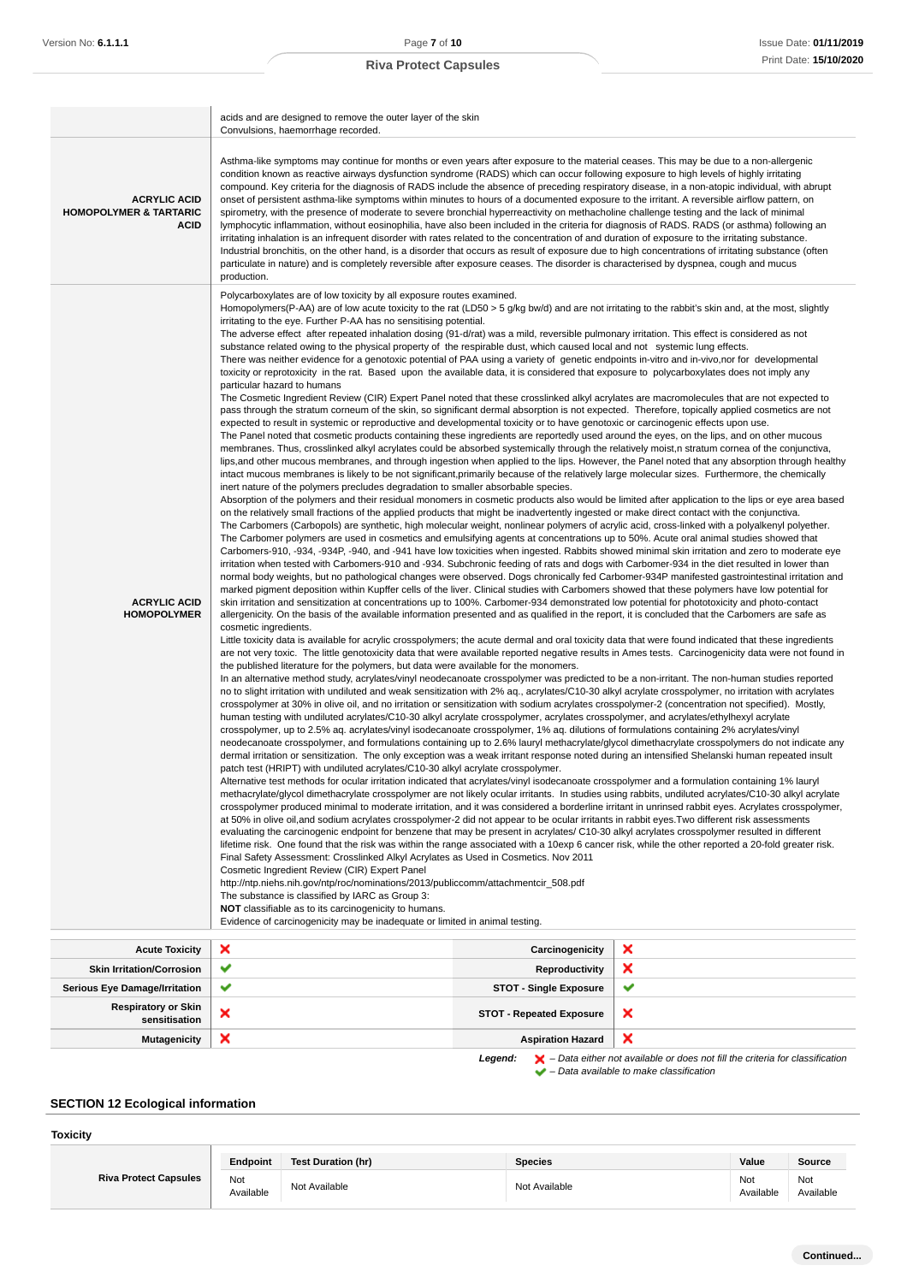|                                                                         | acids and are designed to remove the outer layer of the skin<br>Convulsions, haemorrhage recorded.                                                                                                                                                                                                                                                                                                                                                                                                                                                                                                                                                                                                                                                                                                                                                                                                                                                                                                                                                                                                                                                                                                                                                                                                                                                                                                                                                                                                                                                                                                                                                                                                                                                                                                                                                                                                                                                                                                                                                                                                                                                                                                                                                                                                                                                                                                                                                                                                                                                                                                                                                                                                                                                                                                                                                                                                                                                                                                                                                                                                                                                                                                                                                                                                                                                                                                                                                                                                                                                                                                                                                                                                                                                                                                                                                                                                                                                                                                                                                                                                                                                                                                                                                                                                                                                                                                                                                                                                                                                                                                                                                                                                                                                                                                                                                                                                                                                                                                                                                                                                                                                                                                                                                                                                                                                                                                                                                                                                                                                                                                                                                                                                                                                                                                                                                                                                                                                                                                                                                                                                                                                                                                                                                                                                                                                                                                                                                                      |                                 |                                                                                                    |
|-------------------------------------------------------------------------|-------------------------------------------------------------------------------------------------------------------------------------------------------------------------------------------------------------------------------------------------------------------------------------------------------------------------------------------------------------------------------------------------------------------------------------------------------------------------------------------------------------------------------------------------------------------------------------------------------------------------------------------------------------------------------------------------------------------------------------------------------------------------------------------------------------------------------------------------------------------------------------------------------------------------------------------------------------------------------------------------------------------------------------------------------------------------------------------------------------------------------------------------------------------------------------------------------------------------------------------------------------------------------------------------------------------------------------------------------------------------------------------------------------------------------------------------------------------------------------------------------------------------------------------------------------------------------------------------------------------------------------------------------------------------------------------------------------------------------------------------------------------------------------------------------------------------------------------------------------------------------------------------------------------------------------------------------------------------------------------------------------------------------------------------------------------------------------------------------------------------------------------------------------------------------------------------------------------------------------------------------------------------------------------------------------------------------------------------------------------------------------------------------------------------------------------------------------------------------------------------------------------------------------------------------------------------------------------------------------------------------------------------------------------------------------------------------------------------------------------------------------------------------------------------------------------------------------------------------------------------------------------------------------------------------------------------------------------------------------------------------------------------------------------------------------------------------------------------------------------------------------------------------------------------------------------------------------------------------------------------------------------------------------------------------------------------------------------------------------------------------------------------------------------------------------------------------------------------------------------------------------------------------------------------------------------------------------------------------------------------------------------------------------------------------------------------------------------------------------------------------------------------------------------------------------------------------------------------------------------------------------------------------------------------------------------------------------------------------------------------------------------------------------------------------------------------------------------------------------------------------------------------------------------------------------------------------------------------------------------------------------------------------------------------------------------------------------------------------------------------------------------------------------------------------------------------------------------------------------------------------------------------------------------------------------------------------------------------------------------------------------------------------------------------------------------------------------------------------------------------------------------------------------------------------------------------------------------------------------------------------------------------------------------------------------------------------------------------------------------------------------------------------------------------------------------------------------------------------------------------------------------------------------------------------------------------------------------------------------------------------------------------------------------------------------------------------------------------------------------------------------------------------------------------------------------------------------------------------------------------------------------------------------------------------------------------------------------------------------------------------------------------------------------------------------------------------------------------------------------------------------------------------------------------------------------------------------------------------------------------------------------------------------------------------------------------------------------------------------------------------------------------------------------------------------------------------------------------------------------------------------------------------------------------------------------------------------------------------------------------------------------------------------------------------------------------------------------------------------------------------------------------------------------------------------------------------------------------|---------------------------------|----------------------------------------------------------------------------------------------------|
| <b>ACRYLIC ACID</b><br><b>HOMOPOLYMER &amp; TARTARIC</b><br><b>ACID</b> | Asthma-like symptoms may continue for months or even years after exposure to the material ceases. This may be due to a non-allergenic<br>condition known as reactive airways dysfunction syndrome (RADS) which can occur following exposure to high levels of highly irritating<br>compound. Key criteria for the diagnosis of RADS include the absence of preceding respiratory disease, in a non-atopic individual, with abrupt<br>onset of persistent asthma-like symptoms within minutes to hours of a documented exposure to the irritant. A reversible airflow pattern, on<br>spirometry, with the presence of moderate to severe bronchial hyperreactivity on methacholine challenge testing and the lack of minimal<br>lymphocytic inflammation, without eosinophilia, have also been included in the criteria for diagnosis of RADS. RADS (or asthma) following an<br>irritating inhalation is an infrequent disorder with rates related to the concentration of and duration of exposure to the irritating substance.<br>Industrial bronchitis, on the other hand, is a disorder that occurs as result of exposure due to high concentrations of irritating substance (often<br>particulate in nature) and is completely reversible after exposure ceases. The disorder is characterised by dyspnea, cough and mucus<br>production.                                                                                                                                                                                                                                                                                                                                                                                                                                                                                                                                                                                                                                                                                                                                                                                                                                                                                                                                                                                                                                                                                                                                                                                                                                                                                                                                                                                                                                                                                                                                                                                                                                                                                                                                                                                                                                                                                                                                                                                                                                                                                                                                                                                                                                                                                                                                                                                                                                                                                                                                                                                                                                                                                                                                                                                                                                                                                                                                                                                                                                                                                                                                                                                                                                                                                                                                                                                                                                                                                                                                                                                                                                                                                                                                                                                                                                                                                                                                                                                                                                                                                                                                                                                                                                                                                                                                                                                                                                                                                                                                                                                                                                                                                                                                                                                                                                                                                                                                                                                                                                                                                                                           |                                 |                                                                                                    |
| <b>ACRYLIC ACID</b><br><b>HOMOPOLYMER</b>                               | Polycarboxylates are of low toxicity by all exposure routes examined.<br>Homopolymers(P-AA) are of low acute toxicity to the rat (LD50 > 5 g/kg bw/d) and are not irritating to the rabbit's skin and, at the most, slightly<br>irritating to the eye. Further P-AA has no sensitising potential.<br>The adverse effect after repeated inhalation dosing (91-d/rat) was a mild, reversible pulmonary irritation. This effect is considered as not<br>substance related owing to the physical property of the respirable dust, which caused local and not systemic lung effects.<br>There was neither evidence for a genotoxic potential of PAA using a variety of genetic endpoints in-vitro and in-vivo,nor for developmental<br>toxicity or reprotoxicity in the rat. Based upon the available data, it is considered that exposure to polycarboxylates does not imply any<br>particular hazard to humans<br>The Cosmetic Ingredient Review (CIR) Expert Panel noted that these crosslinked alkyl acrylates are macromolecules that are not expected to<br>pass through the stratum corneum of the skin, so significant dermal absorption is not expected. Therefore, topically applied cosmetics are not<br>expected to result in systemic or reproductive and developmental toxicity or to have genotoxic or carcinogenic effects upon use.<br>The Panel noted that cosmetic products containing these ingredients are reportedly used around the eyes, on the lips, and on other mucous<br>membranes. Thus, crosslinked alkyl acrylates could be absorbed systemically through the relatively moist, n stratum cornea of the conjunctiva,<br>lips, and other mucous membranes, and through ingestion when applied to the lips. However, the Panel noted that any absorption through healthy<br>intact mucous membranes is likely to be not significant, primarily because of the relatively large molecular sizes. Furthermore, the chemically<br>inert nature of the polymers precludes degradation to smaller absorbable species.<br>Absorption of the polymers and their residual monomers in cosmetic products also would be limited after application to the lips or eye area based<br>on the relatively small fractions of the applied products that might be inadvertently ingested or make direct contact with the conjunctiva.<br>The Carbomers (Carbopols) are synthetic, high molecular weight, nonlinear polymers of acrylic acid, cross-linked with a polyalkenyl polyether.<br>The Carbomer polymers are used in cosmetics and emulsifying agents at concentrations up to 50%. Acute oral animal studies showed that<br>Carbomers-910, -934, -934P, -940, and -941 have low toxicities when ingested. Rabbits showed minimal skin irritation and zero to moderate eye<br>irritation when tested with Carbomers-910 and -934. Subchronic feeding of rats and dogs with Carbomer-934 in the diet resulted in lower than<br>normal body weights, but no pathological changes were observed. Dogs chronically fed Carbomer-934P manifested gastrointestinal irritation and<br>marked pigment deposition within Kupffer cells of the liver. Clinical studies with Carbomers showed that these polymers have low potential for<br>skin irritation and sensitization at concentrations up to 100%. Carbomer-934 demonstrated low potential for phototoxicity and photo-contact<br>allergenicity. On the basis of the available information presented and as qualified in the report, it is concluded that the Carbomers are safe as<br>cosmetic ingredients.<br>Little toxicity data is available for acrylic crosspolymers; the acute dermal and oral toxicity data that were found indicated that these ingredients<br>are not very toxic. The little genotoxicity data that were available reported negative results in Ames tests. Carcinogenicity data were not found in<br>the published literature for the polymers, but data were available for the monomers.<br>In an alternative method study, acrylates/vinyl neodecanoate crosspolymer was predicted to be a non-irritant. The non-human studies reported<br>no to slight irritation with undiluted and weak sensitization with 2% aq., acrylates/C10-30 alkyl acrylate crosspolymer, no irritation with acrylates<br>crosspolymer at 30% in olive oil, and no irritation or sensitization with sodium acrylates crosspolymer-2 (concentration not specified). Mostly,<br>human testing with undiluted acrylates/C10-30 alkyl acrylate crosspolymer, acrylates crosspolymer, and acrylates/ethylhexyl acrylate<br>crosspolymer, up to 2.5% aq. acrylates/vinyl isodecanoate crosspolymer, 1% aq. dilutions of formulations containing 2% acrylates/vinyl<br>neodecanoate crosspolymer, and formulations containing up to 2.6% lauryl methacrylate/glycol dimethacrylate crosspolymers do not indicate any<br>dermal irritation or sensitization. The only exception was a weak irritant response noted during an intensified Shelanski human repeated insult<br>patch test (HRIPT) with undiluted acrylates/C10-30 alkyl acrylate crosspolymer.<br>Alternative test methods for ocular irritation indicated that acrylates/vinyl isodecanoate crosspolymer and a formulation containing 1% lauryl<br>methacrylate/glycol dimethacrylate crosspolymer are not likely ocular irritants. In studies using rabbits, undiluted acrylates/C10-30 alkyl acrylate<br>crosspolymer produced minimal to moderate irritation, and it was considered a borderline irritant in unrinsed rabbit eyes. Acrylates crosspolymer,<br>at 50% in olive oil, and sodium acrylates crosspolymer-2 did not appear to be ocular irritants in rabbit eyes. Two different risk assessments<br>evaluating the carcinogenic endpoint for benzene that may be present in acrylates/C10-30 alkyl acrylates crosspolymer resulted in different<br>lifetime risk. One found that the risk was within the range associated with a 10exp 6 cancer risk, while the other reported a 20-fold greater risk.<br>Final Safety Assessment: Crosslinked Alkyl Acrylates as Used in Cosmetics. Nov 2011<br>Cosmetic Ingredient Review (CIR) Expert Panel<br>http://ntp.niehs.nih.gov/ntp/roc/nominations/2013/publiccomm/attachmentcir_508.pdf<br>The substance is classified by IARC as Group 3:<br>NOT classifiable as to its carcinogenicity to humans.<br>Evidence of carcinogenicity may be inadequate or limited in animal testing. |                                 |                                                                                                    |
| <b>Acute Toxicity</b>                                                   | ×                                                                                                                                                                                                                                                                                                                                                                                                                                                                                                                                                                                                                                                                                                                                                                                                                                                                                                                                                                                                                                                                                                                                                                                                                                                                                                                                                                                                                                                                                                                                                                                                                                                                                                                                                                                                                                                                                                                                                                                                                                                                                                                                                                                                                                                                                                                                                                                                                                                                                                                                                                                                                                                                                                                                                                                                                                                                                                                                                                                                                                                                                                                                                                                                                                                                                                                                                                                                                                                                                                                                                                                                                                                                                                                                                                                                                                                                                                                                                                                                                                                                                                                                                                                                                                                                                                                                                                                                                                                                                                                                                                                                                                                                                                                                                                                                                                                                                                                                                                                                                                                                                                                                                                                                                                                                                                                                                                                                                                                                                                                                                                                                                                                                                                                                                                                                                                                                                                                                                                                                                                                                                                                                                                                                                                                                                                                                                                                                                                                                       | Carcinogenicity                 | ×                                                                                                  |
| <b>Skin Irritation/Corrosion</b>                                        | ✔                                                                                                                                                                                                                                                                                                                                                                                                                                                                                                                                                                                                                                                                                                                                                                                                                                                                                                                                                                                                                                                                                                                                                                                                                                                                                                                                                                                                                                                                                                                                                                                                                                                                                                                                                                                                                                                                                                                                                                                                                                                                                                                                                                                                                                                                                                                                                                                                                                                                                                                                                                                                                                                                                                                                                                                                                                                                                                                                                                                                                                                                                                                                                                                                                                                                                                                                                                                                                                                                                                                                                                                                                                                                                                                                                                                                                                                                                                                                                                                                                                                                                                                                                                                                                                                                                                                                                                                                                                                                                                                                                                                                                                                                                                                                                                                                                                                                                                                                                                                                                                                                                                                                                                                                                                                                                                                                                                                                                                                                                                                                                                                                                                                                                                                                                                                                                                                                                                                                                                                                                                                                                                                                                                                                                                                                                                                                                                                                                                                                       | Reproductivity                  | ×                                                                                                  |
| Serious Eye Damage/Irritation                                           | ✔                                                                                                                                                                                                                                                                                                                                                                                                                                                                                                                                                                                                                                                                                                                                                                                                                                                                                                                                                                                                                                                                                                                                                                                                                                                                                                                                                                                                                                                                                                                                                                                                                                                                                                                                                                                                                                                                                                                                                                                                                                                                                                                                                                                                                                                                                                                                                                                                                                                                                                                                                                                                                                                                                                                                                                                                                                                                                                                                                                                                                                                                                                                                                                                                                                                                                                                                                                                                                                                                                                                                                                                                                                                                                                                                                                                                                                                                                                                                                                                                                                                                                                                                                                                                                                                                                                                                                                                                                                                                                                                                                                                                                                                                                                                                                                                                                                                                                                                                                                                                                                                                                                                                                                                                                                                                                                                                                                                                                                                                                                                                                                                                                                                                                                                                                                                                                                                                                                                                                                                                                                                                                                                                                                                                                                                                                                                                                                                                                                                                       | <b>STOT - Single Exposure</b>   | ✔                                                                                                  |
| <b>Respiratory or Skin</b><br>sensitisation                             | ×                                                                                                                                                                                                                                                                                                                                                                                                                                                                                                                                                                                                                                                                                                                                                                                                                                                                                                                                                                                                                                                                                                                                                                                                                                                                                                                                                                                                                                                                                                                                                                                                                                                                                                                                                                                                                                                                                                                                                                                                                                                                                                                                                                                                                                                                                                                                                                                                                                                                                                                                                                                                                                                                                                                                                                                                                                                                                                                                                                                                                                                                                                                                                                                                                                                                                                                                                                                                                                                                                                                                                                                                                                                                                                                                                                                                                                                                                                                                                                                                                                                                                                                                                                                                                                                                                                                                                                                                                                                                                                                                                                                                                                                                                                                                                                                                                                                                                                                                                                                                                                                                                                                                                                                                                                                                                                                                                                                                                                                                                                                                                                                                                                                                                                                                                                                                                                                                                                                                                                                                                                                                                                                                                                                                                                                                                                                                                                                                                                                                       | <b>STOT - Repeated Exposure</b> | ×                                                                                                  |
| <b>Mutagenicity</b>                                                     | ×                                                                                                                                                                                                                                                                                                                                                                                                                                                                                                                                                                                                                                                                                                                                                                                                                                                                                                                                                                                                                                                                                                                                                                                                                                                                                                                                                                                                                                                                                                                                                                                                                                                                                                                                                                                                                                                                                                                                                                                                                                                                                                                                                                                                                                                                                                                                                                                                                                                                                                                                                                                                                                                                                                                                                                                                                                                                                                                                                                                                                                                                                                                                                                                                                                                                                                                                                                                                                                                                                                                                                                                                                                                                                                                                                                                                                                                                                                                                                                                                                                                                                                                                                                                                                                                                                                                                                                                                                                                                                                                                                                                                                                                                                                                                                                                                                                                                                                                                                                                                                                                                                                                                                                                                                                                                                                                                                                                                                                                                                                                                                                                                                                                                                                                                                                                                                                                                                                                                                                                                                                                                                                                                                                                                                                                                                                                                                                                                                                                                       | <b>Aspiration Hazard</b>        | ×                                                                                                  |
|                                                                         |                                                                                                                                                                                                                                                                                                                                                                                                                                                                                                                                                                                                                                                                                                                                                                                                                                                                                                                                                                                                                                                                                                                                                                                                                                                                                                                                                                                                                                                                                                                                                                                                                                                                                                                                                                                                                                                                                                                                                                                                                                                                                                                                                                                                                                                                                                                                                                                                                                                                                                                                                                                                                                                                                                                                                                                                                                                                                                                                                                                                                                                                                                                                                                                                                                                                                                                                                                                                                                                                                                                                                                                                                                                                                                                                                                                                                                                                                                                                                                                                                                                                                                                                                                                                                                                                                                                                                                                                                                                                                                                                                                                                                                                                                                                                                                                                                                                                                                                                                                                                                                                                                                                                                                                                                                                                                                                                                                                                                                                                                                                                                                                                                                                                                                                                                                                                                                                                                                                                                                                                                                                                                                                                                                                                                                                                                                                                                                                                                                                                         | Legend:                         | $\blacktriangleright$ – Data either not available or does not fill the criteria for classification |

– Data available to make classification

## **SECTION 12 Ecological information**

## **Toxicity**

|                              | Endpoint         | Test Duration (hr) | <b>Species</b> | Value            | Source           |
|------------------------------|------------------|--------------------|----------------|------------------|------------------|
| <b>Riva Protect Capsules</b> | Not<br>Available | Not Available      | Not Available  | Not<br>Available | Not<br>Available |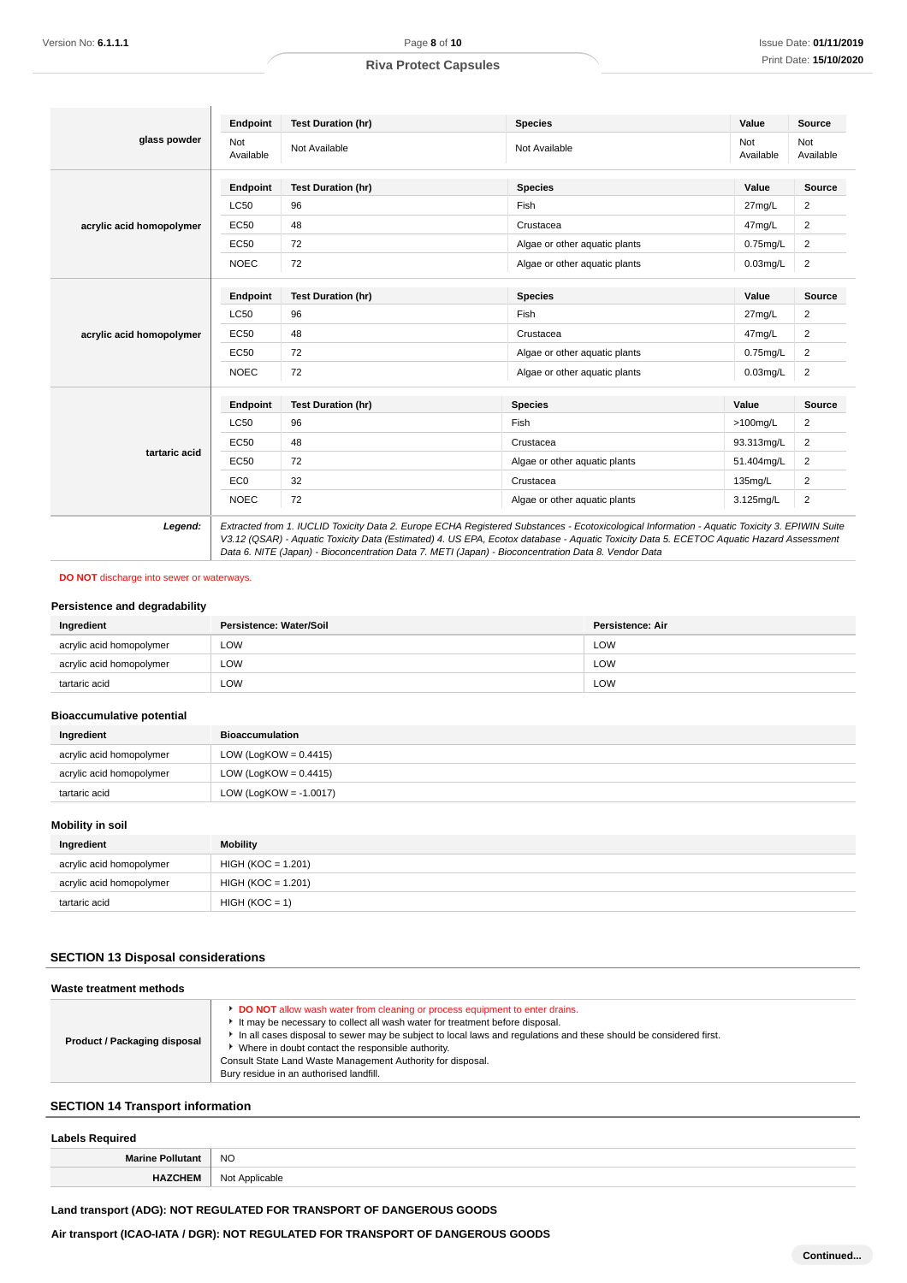|                          | Endpoint         | <b>Test Duration (hr)</b>                                                                                                                                                                                                                                                                                                                                                                       | <b>Species</b>                | Value            | Source           |
|--------------------------|------------------|-------------------------------------------------------------------------------------------------------------------------------------------------------------------------------------------------------------------------------------------------------------------------------------------------------------------------------------------------------------------------------------------------|-------------------------------|------------------|------------------|
| glass powder             | Not<br>Available | Not Available                                                                                                                                                                                                                                                                                                                                                                                   | Not Available                 | Not<br>Available | Not<br>Available |
|                          | Endpoint         | <b>Test Duration (hr)</b>                                                                                                                                                                                                                                                                                                                                                                       | <b>Species</b>                | Value            | <b>Source</b>    |
|                          | LC50             | 96                                                                                                                                                                                                                                                                                                                                                                                              | Fish                          | $27$ mg/L        | $\overline{2}$   |
| acrylic acid homopolymer | <b>EC50</b>      | 48                                                                                                                                                                                                                                                                                                                                                                                              | Crustacea                     | 47mg/L           | $\overline{c}$   |
|                          | EC50             | 72                                                                                                                                                                                                                                                                                                                                                                                              | Algae or other aquatic plants | $0.75$ mg/L      | 2                |
|                          | <b>NOEC</b>      | 72                                                                                                                                                                                                                                                                                                                                                                                              | Algae or other aquatic plants | $0.03$ mg/L      | $\overline{c}$   |
|                          | Endpoint         | <b>Test Duration (hr)</b>                                                                                                                                                                                                                                                                                                                                                                       | <b>Species</b>                | Value            | Source           |
|                          | LC50             | 96                                                                                                                                                                                                                                                                                                                                                                                              | Fish                          | 27mg/L           | $\overline{2}$   |
| acrylic acid homopolymer | <b>EC50</b>      | 48                                                                                                                                                                                                                                                                                                                                                                                              | Crustacea                     | 47mg/L           | $\overline{c}$   |
|                          | <b>EC50</b>      | 72                                                                                                                                                                                                                                                                                                                                                                                              | Algae or other aquatic plants | $0.75$ mg/L      | $\overline{c}$   |
|                          | <b>NOEC</b>      | 72                                                                                                                                                                                                                                                                                                                                                                                              | Algae or other aquatic plants | $0.03$ mg/L      | $\overline{2}$   |
|                          | Endpoint         | <b>Test Duration (hr)</b>                                                                                                                                                                                                                                                                                                                                                                       | <b>Species</b>                | Value            | Source           |
|                          | LC50             | 96                                                                                                                                                                                                                                                                                                                                                                                              | Fish                          | $>100$ mg/L      | 2                |
|                          | <b>EC50</b>      | 48                                                                                                                                                                                                                                                                                                                                                                                              | Crustacea                     | 93.313mg/L       | 2                |
| tartaric acid            | <b>EC50</b>      | 72                                                                                                                                                                                                                                                                                                                                                                                              | Algae or other aguatic plants | 51.404mg/L       | 2                |
|                          | EC <sub>0</sub>  | 32                                                                                                                                                                                                                                                                                                                                                                                              | Crustacea                     | 135mg/L          | $\overline{c}$   |
|                          | <b>NOEC</b>      | 72                                                                                                                                                                                                                                                                                                                                                                                              | Algae or other aquatic plants | 3.125mg/L        | $\overline{2}$   |
| Legend:                  |                  | Extracted from 1. IUCLID Toxicity Data 2. Europe ECHA Registered Substances - Ecotoxicological Information - Aquatic Toxicity 3. EPIWIN Suite<br>V3.12 (QSAR) - Aquatic Toxicity Data (Estimated) 4. US EPA, Ecotox database - Aquatic Toxicity Data 5. ECETOC Aquatic Hazard Assessment<br>Data 6. NITE (Japan) - Bioconcentration Data 7. METI (Japan) - Bioconcentration Data 8. Vendor Data |                               |                  |                  |

#### **DO NOT** discharge into sewer or waterways.

#### **Persistence and degradability**

| Ingredient               | Persistence: Water/Soil | Persistence: Air |
|--------------------------|-------------------------|------------------|
| acrylic acid homopolymer | LOW                     | <b>LOW</b>       |
| acrylic acid homopolymer | LOW                     | <b>LOW</b>       |
| tartaric acid            | LOW                     | <b>LOW</b>       |

## **Bioaccumulative potential**

| Ingredient               | <b>Bioaccumulation</b>   |
|--------------------------|--------------------------|
| acrylic acid homopolymer | LOW (LogKOW = $0.4415$ ) |
| acrylic acid homopolymer | LOW (LogKOW = $0.4415$ ) |
| tartaric acid            | LOW (LogKOW = -1.0017)   |

## **Mobility in soil**

| Ingredient               | <b>Mobility</b>      |
|--------------------------|----------------------|
| acrylic acid homopolymer | $HIGH (KOC = 1.201)$ |
| acrylic acid homopolymer | $HIGH (KOC = 1.201)$ |
| tartaric acid            | $HIGH (KOC = 1)$     |

## **SECTION 13 Disposal considerations**

| Waste treatment methods      |                                                                                                                                                                                                                                                                                                                                                                                                                                                        |
|------------------------------|--------------------------------------------------------------------------------------------------------------------------------------------------------------------------------------------------------------------------------------------------------------------------------------------------------------------------------------------------------------------------------------------------------------------------------------------------------|
| Product / Packaging disposal | <b>DO NOT</b> allow wash water from cleaning or process equipment to enter drains.<br>It may be necessary to collect all wash water for treatment before disposal.<br>In all cases disposal to sewer may be subject to local laws and requlations and these should be considered first.<br>Where in doubt contact the responsible authority.<br>Consult State Land Waste Management Authority for disposal.<br>Bury residue in an authorised landfill. |

## **SECTION 14 Transport information**

#### **Labels Required**

| --------------- |           |
|-----------------|-----------|
| Marino          | <b>NO</b> |
|                 | nnh le    |
|                 |           |

**Land transport (ADG): NOT REGULATED FOR TRANSPORT OF DANGEROUS GOODS**

**Air transport (ICAO-IATA / DGR): NOT REGULATED FOR TRANSPORT OF DANGEROUS GOODS**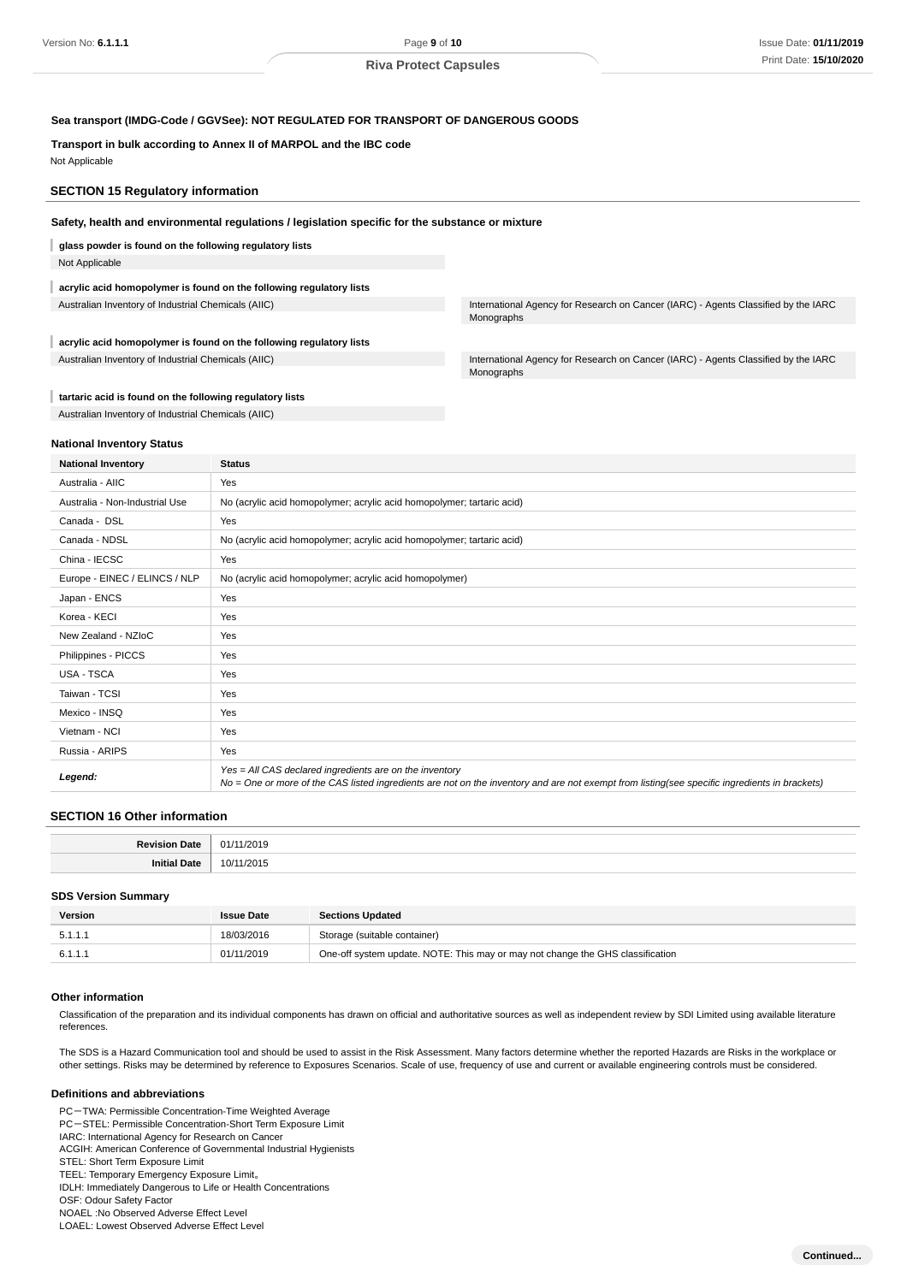#### **Sea transport (IMDG-Code / GGVSee): NOT REGULATED FOR TRANSPORT OF DANGEROUS GOODS**

#### **Transport in bulk according to Annex II of MARPOL and the IBC code**

Not Applicable

## **SECTION 15 Regulatory information**

#### **Safety, health and environmental regulations / legislation specific for the substance or mixture**

**glass powder is found on the following regulatory lists**

Not Applicable

## **acrylic acid homopolymer is found on the following regulatory lists**

**acrylic acid homopolymer is found on the following regulatory lists**

Australian Inventory of Industrial Chemicals (AIIC) **International Agency for Research on Cancer (IARC)** - Agents Classified by the IARC Monographs

Australian Inventory of Industrial Chemicals (AIIC) **International Agency for Research on Cancer (IARC)** - Agents Classified by the IARC Monographs

#### **tartaric acid is found on the following regulatory lists**

Australian Inventory of Industrial Chemicals (AIIC)

#### **National Inventory Status**

| <b>National Inventory</b>      | <b>Status</b>                                                                                                                                                                                            |
|--------------------------------|----------------------------------------------------------------------------------------------------------------------------------------------------------------------------------------------------------|
| Australia - AIIC               | Yes                                                                                                                                                                                                      |
| Australia - Non-Industrial Use | No (acrylic acid homopolymer; acrylic acid homopolymer; tartaric acid)                                                                                                                                   |
| Canada - DSL                   | Yes                                                                                                                                                                                                      |
| Canada - NDSL                  | No (acrylic acid homopolymer; acrylic acid homopolymer; tartaric acid)                                                                                                                                   |
| China - IECSC                  | Yes                                                                                                                                                                                                      |
| Europe - EINEC / ELINCS / NLP  | No (acrylic acid homopolymer; acrylic acid homopolymer)                                                                                                                                                  |
| Japan - ENCS                   | Yes                                                                                                                                                                                                      |
| Korea - KECI                   | Yes                                                                                                                                                                                                      |
| New Zealand - NZIoC            | Yes                                                                                                                                                                                                      |
| Philippines - PICCS            | Yes                                                                                                                                                                                                      |
| USA - TSCA                     | Yes                                                                                                                                                                                                      |
| Taiwan - TCSI                  | Yes                                                                                                                                                                                                      |
| Mexico - INSQ                  | Yes                                                                                                                                                                                                      |
| Vietnam - NCI                  | Yes                                                                                                                                                                                                      |
| Russia - ARIPS                 | Yes                                                                                                                                                                                                      |
| Legend:                        | Yes = All CAS declared ingredients are on the inventory<br>No = One or more of the CAS listed ingredients are not on the inventory and are not exempt from listing(see specific ingredients in brackets) |

#### **SECTION 16 Other information**

| ∍∽ | ∗∩נ |
|----|-----|
|    | ົ   |

#### **SDS Version Summary**

| <b>Version</b> | <b>Issue Date</b> | <b>Sections Updated</b>                                                        |
|----------------|-------------------|--------------------------------------------------------------------------------|
| 5.1.1.1        | 18/03/2016        | Storage (suitable container)                                                   |
| 6.1.1.1        | 01/11/2019        | One-off system update. NOTE: This may or may not change the GHS classification |

#### **Other information**

Classification of the preparation and its individual components has drawn on official and authoritative sources as well as independent review by SDI Limited using available literature references.

The SDS is a Hazard Communication tool and should be used to assist in the Risk Assessment. Many factors determine whether the reported Hazards are Risks in the workplace or other settings. Risks may be determined by reference to Exposures Scenarios. Scale of use, frequency of use and current or available engineering controls must be considered.

#### **Definitions and abbreviations**

PC-TWA: Permissible Concentration-Time Weighted Average PC-STEL: Permissible Concentration-Short Term Exposure Limit IARC: International Agency for Research on Cancer ACGIH: American Conference of Governmental Industrial Hygienists STEL: Short Term Exposure Limit TEEL: Temporary Emergency Exposure Limit。 IDLH: Immediately Dangerous to Life or Health Concentrations OSF: Odour Safety Factor NOAEL :No Observed Adverse Effect Level LOAEL: Lowest Observed Adverse Effect Level